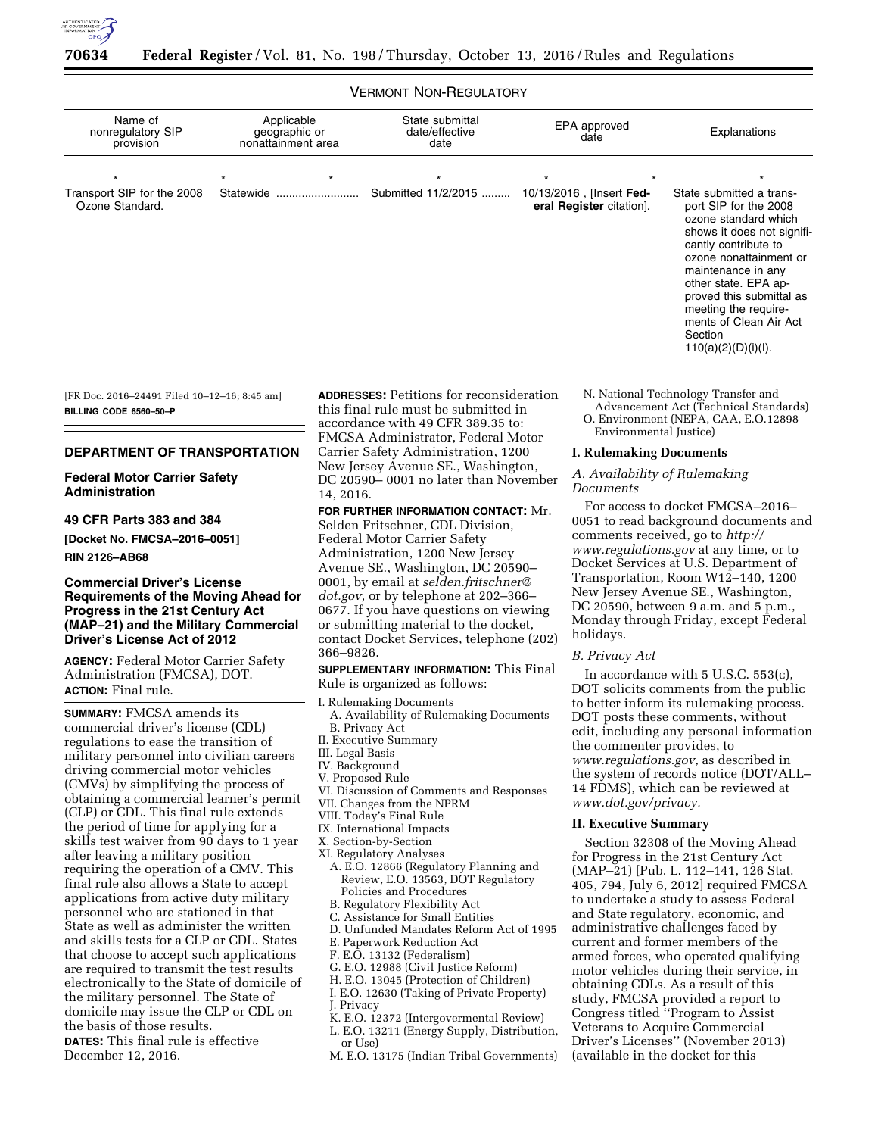

# VERMONT NON-REGULATORY

| Name of<br>nonregulatory SIP                  | Applicable<br>geographic or | State submittal<br>date/effective | EPA approved<br>date                                 | Explanations                                                                                                                                                                                                                                                                                                            |  |
|-----------------------------------------------|-----------------------------|-----------------------------------|------------------------------------------------------|-------------------------------------------------------------------------------------------------------------------------------------------------------------------------------------------------------------------------------------------------------------------------------------------------------------------------|--|
| provision                                     | nonattainment area          | date                              |                                                      |                                                                                                                                                                                                                                                                                                                         |  |
| $\star$                                       | $\star$                     | $\star$                           |                                                      |                                                                                                                                                                                                                                                                                                                         |  |
| Transport SIP for the 2008<br>Ozone Standard. | Statewide                   | Submitted 11/2/2015               | 10/13/2016, [Insert Fed-<br>eral Register citation]. | State submitted a trans-<br>port SIP for the 2008<br>ozone standard which<br>shows it does not signifi-<br>cantly contribute to<br>ozone nonattainment or<br>maintenance in any<br>other state. EPA ap-<br>proved this submittal as<br>meeting the require-<br>ments of Clean Air Act<br>Section<br>110(a)(2)(D)(i)(I). |  |

[FR Doc. 2016–24491 Filed 10–12–16; 8:45 am] **BILLING CODE 6560–50–P** 

#### **DEPARTMENT OF TRANSPORTATION**

## **Federal Motor Carrier Safety Administration**

# **49 CFR Parts 383 and 384**

**[Docket No. FMCSA–2016–0051] RIN 2126–AB68** 

## **Commercial Driver's License Requirements of the Moving Ahead for Progress in the 21st Century Act (MAP–21) and the Military Commercial Driver's License Act of 2012**

**AGENCY:** Federal Motor Carrier Safety Administration (FMCSA), DOT. **ACTION:** Final rule.

**SUMMARY:** FMCSA amends its commercial driver's license (CDL) regulations to ease the transition of military personnel into civilian careers driving commercial motor vehicles (CMVs) by simplifying the process of obtaining a commercial learner's permit (CLP) or CDL. This final rule extends the period of time for applying for a skills test waiver from 90 days to 1 year after leaving a military position requiring the operation of a CMV. This final rule also allows a State to accept applications from active duty military personnel who are stationed in that State as well as administer the written and skills tests for a CLP or CDL. States that choose to accept such applications are required to transmit the test results electronically to the State of domicile of the military personnel. The State of domicile may issue the CLP or CDL on the basis of those results. **DATES:** This final rule is effective December 12, 2016.

**ADDRESSES:** Petitions for reconsideration this final rule must be submitted in accordance with 49 CFR 389.35 to: FMCSA Administrator, Federal Motor Carrier Safety Administration, 1200 New Jersey Avenue SE., Washington, DC 20590– 0001 no later than November 14, 2016.

**FOR FURTHER INFORMATION CONTACT:** Mr. Selden Fritschner, CDL Division, Federal Motor Carrier Safety Administration, 1200 New Jersey Avenue SE., Washington, DC 20590– 0001, by email at *[selden.fritschner@](mailto:selden.fritschner@dot.gov) [dot.gov,](mailto:selden.fritschner@dot.gov)* or by telephone at 202–366– 0677. If you have questions on viewing or submitting material to the docket, contact Docket Services, telephone (202) 366–9826.

**SUPPLEMENTARY INFORMATION:** This Final Rule is organized as follows:

# I. Rulemaking Documents

- A. Availability of Rulemaking Documents B. Privacy Act
- II. Executive Summary
- III. Legal Basis
- IV. Background
- V. Proposed Rule
- VI. Discussion of Comments and Responses
- VII. Changes from the NPRM
- VIII. Today's Final Rule
- IX. International Impacts X. Section-by-Section
- XI. Regulatory Analyses
- A. E.O. 12866 (Regulatory Planning and Review, E.O. 13563, DOT Regulatory Policies and Procedures
- B. Regulatory Flexibility Act
- C. Assistance for Small Entities
- D. Unfunded Mandates Reform Act of 1995
- E. Paperwork Reduction Act
- F. E.O. 13132 (Federalism)
- G. E.O. 12988 (Civil Justice Reform)
- H. E.O. 13045 (Protection of Children)
- I. E.O. 12630 (Taking of Private Property)
- J. Privacy
- K. E.O. 12372 (Intergovermental Review) L. E.O. 13211 (Energy Supply, Distribution,
- or Use)
- M. E.O. 13175 (Indian Tribal Governments)

N. National Technology Transfer and

Advancement Act (Technical Standards) O. Environment (NEPA, CAA, E.O.12898 Environmental Justice)

#### **I. Rulemaking Documents**

## *A. Availability of Rulemaking Documents*

For access to docket FMCSA–2016– 0051 to read background documents and comments received, go to *[http://](http://www.regulations.gov) [www.regulations.gov](http://www.regulations.gov)* at any time, or to Docket Services at U.S. Department of Transportation, Room W12–140, 1200 New Jersey Avenue SE., Washington, DC 20590, between 9 a.m. and 5 p.m., Monday through Friday, except Federal holidays.

### *B. Privacy Act*

In accordance with 5 U.S.C. 553(c), DOT solicits comments from the public to better inform its rulemaking process. DOT posts these comments, without edit, including any personal information the commenter provides, to *[www.regulations.gov,](http://www.regulations.gov)* as described in the system of records notice (DOT/ALL– 14 FDMS), which can be reviewed at *[www.dot.gov/privacy.](http://www.dot.gov/privacy)* 

### **II. Executive Summary**

Section 32308 of the Moving Ahead for Progress in the 21st Century Act (MAP–21) [Pub. L. 112–141, 126 Stat. 405, 794, July 6, 2012] required FMCSA to undertake a study to assess Federal and State regulatory, economic, and administrative challenges faced by current and former members of the armed forces, who operated qualifying motor vehicles during their service, in obtaining CDLs. As a result of this study, FMCSA provided a report to Congress titled ''Program to Assist Veterans to Acquire Commercial Driver's Licenses'' (November 2013) (available in the docket for this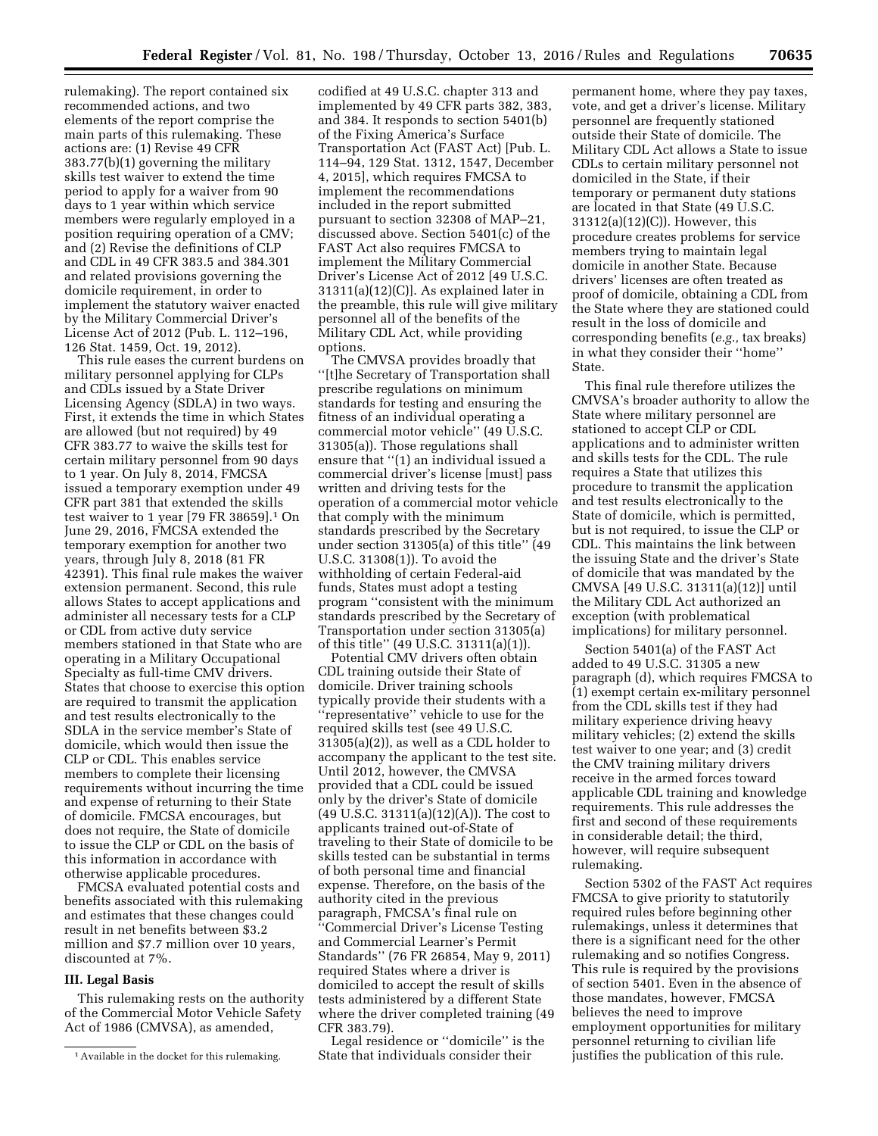rulemaking). The report contained six recommended actions, and two elements of the report comprise the main parts of this rulemaking. These actions are: (1) Revise 49 CFR 383.77(b)(1) governing the military skills test waiver to extend the time period to apply for a waiver from 90 days to 1 year within which service members were regularly employed in a position requiring operation of a CMV; and (2) Revise the definitions of CLP and CDL in 49 CFR 383.5 and 384.301 and related provisions governing the domicile requirement, in order to implement the statutory waiver enacted by the Military Commercial Driver's License Act of 2012 (Pub. L. 112–196, 126 Stat. 1459, Oct. 19, 2012).

This rule eases the current burdens on military personnel applying for CLPs and CDLs issued by a State Driver Licensing Agency (SDLA) in two ways. First, it extends the time in which States are allowed (but not required) by 49 CFR 383.77 to waive the skills test for certain military personnel from 90 days to 1 year. On July 8, 2014, FMCSA issued a temporary exemption under 49 CFR part 381 that extended the skills test waiver to 1 year [79 FR 38659].1 On June 29, 2016, FMCSA extended the temporary exemption for another two years, through July 8, 2018 (81 FR 42391). This final rule makes the waiver extension permanent. Second, this rule allows States to accept applications and administer all necessary tests for a CLP or CDL from active duty service members stationed in that State who are operating in a Military Occupational Specialty as full-time CMV drivers. States that choose to exercise this option are required to transmit the application and test results electronically to the SDLA in the service member's State of domicile, which would then issue the CLP or CDL. This enables service members to complete their licensing requirements without incurring the time and expense of returning to their State of domicile. FMCSA encourages, but does not require, the State of domicile to issue the CLP or CDL on the basis of this information in accordance with otherwise applicable procedures.

FMCSA evaluated potential costs and benefits associated with this rulemaking and estimates that these changes could result in net benefits between \$3.2 million and \$7.7 million over 10 years, discounted at 7%.

## **III. Legal Basis**

This rulemaking rests on the authority of the Commercial Motor Vehicle Safety Act of 1986 (CMVSA), as amended,

codified at 49 U.S.C. chapter 313 and implemented by 49 CFR parts 382, 383, and 384. It responds to section 5401(b) of the Fixing America's Surface Transportation Act (FAST Act) [Pub. L. 114–94, 129 Stat. 1312, 1547, December 4, 2015], which requires FMCSA to implement the recommendations included in the report submitted pursuant to section 32308 of MAP–21, discussed above. Section 5401(c) of the FAST Act also requires FMCSA to implement the Military Commercial Driver's License Act of 2012 [49 U.S.C. 31311(a)(12)(C)]. As explained later in the preamble, this rule will give military personnel all of the benefits of the Military CDL Act, while providing options.

The CMVSA provides broadly that ''[t]he Secretary of Transportation shall prescribe regulations on minimum standards for testing and ensuring the fitness of an individual operating a commercial motor vehicle'' (49 U.S.C. 31305(a)). Those regulations shall ensure that ''(1) an individual issued a commercial driver's license [must] pass written and driving tests for the operation of a commercial motor vehicle that comply with the minimum standards prescribed by the Secretary under section 31305(a) of this title'' (49 U.S.C. 31308(1)). To avoid the withholding of certain Federal-aid funds, States must adopt a testing program ''consistent with the minimum standards prescribed by the Secretary of Transportation under section 31305(a) of this title'' (49 U.S.C. 31311(a)(1)).

Potential CMV drivers often obtain CDL training outside their State of domicile. Driver training schools typically provide their students with a ''representative'' vehicle to use for the required skills test (see 49 U.S.C. 31305(a)(2)), as well as a CDL holder to accompany the applicant to the test site. Until 2012, however, the CMVSA provided that a CDL could be issued only by the driver's State of domicile (49 U.S.C. 31311(a)(12)(A)). The cost to applicants trained out-of-State of traveling to their State of domicile to be skills tested can be substantial in terms of both personal time and financial expense. Therefore, on the basis of the authority cited in the previous paragraph, FMCSA's final rule on ''Commercial Driver's License Testing and Commercial Learner's Permit Standards'' (76 FR 26854, May 9, 2011) required States where a driver is domiciled to accept the result of skills tests administered by a different State where the driver completed training (49 CFR 383.79).

Legal residence or ''domicile'' is the State that individuals consider their

permanent home, where they pay taxes, vote, and get a driver's license. Military personnel are frequently stationed outside their State of domicile. The Military CDL Act allows a State to issue CDLs to certain military personnel not domiciled in the State, if their temporary or permanent duty stations are located in that State (49 U.S.C. 31312(a)(12)(C)). However, this procedure creates problems for service members trying to maintain legal domicile in another State. Because drivers' licenses are often treated as proof of domicile, obtaining a CDL from the State where they are stationed could result in the loss of domicile and corresponding benefits (*e.g.,* tax breaks) in what they consider their ''home'' State.

This final rule therefore utilizes the CMVSA's broader authority to allow the State where military personnel are stationed to accept CLP or CDL applications and to administer written and skills tests for the CDL. The rule requires a State that utilizes this procedure to transmit the application and test results electronically to the State of domicile, which is permitted, but is not required, to issue the CLP or CDL. This maintains the link between the issuing State and the driver's State of domicile that was mandated by the CMVSA [49 U.S.C. 31311(a)(12)] until the Military CDL Act authorized an exception (with problematical implications) for military personnel.

Section 5401(a) of the FAST Act added to 49 U.S.C. 31305 a new paragraph (d), which requires FMCSA to (1) exempt certain ex-military personnel from the CDL skills test if they had military experience driving heavy military vehicles; (2) extend the skills test waiver to one year; and (3) credit the CMV training military drivers receive in the armed forces toward applicable CDL training and knowledge requirements. This rule addresses the first and second of these requirements in considerable detail; the third, however, will require subsequent rulemaking.

Section 5302 of the FAST Act requires FMCSA to give priority to statutorily required rules before beginning other rulemakings, unless it determines that there is a significant need for the other rulemaking and so notifies Congress. This rule is required by the provisions of section 5401. Even in the absence of those mandates, however, FMCSA believes the need to improve employment opportunities for military personnel returning to civilian life justifies the publication of this rule.

<sup>1</sup>Available in the docket for this rulemaking.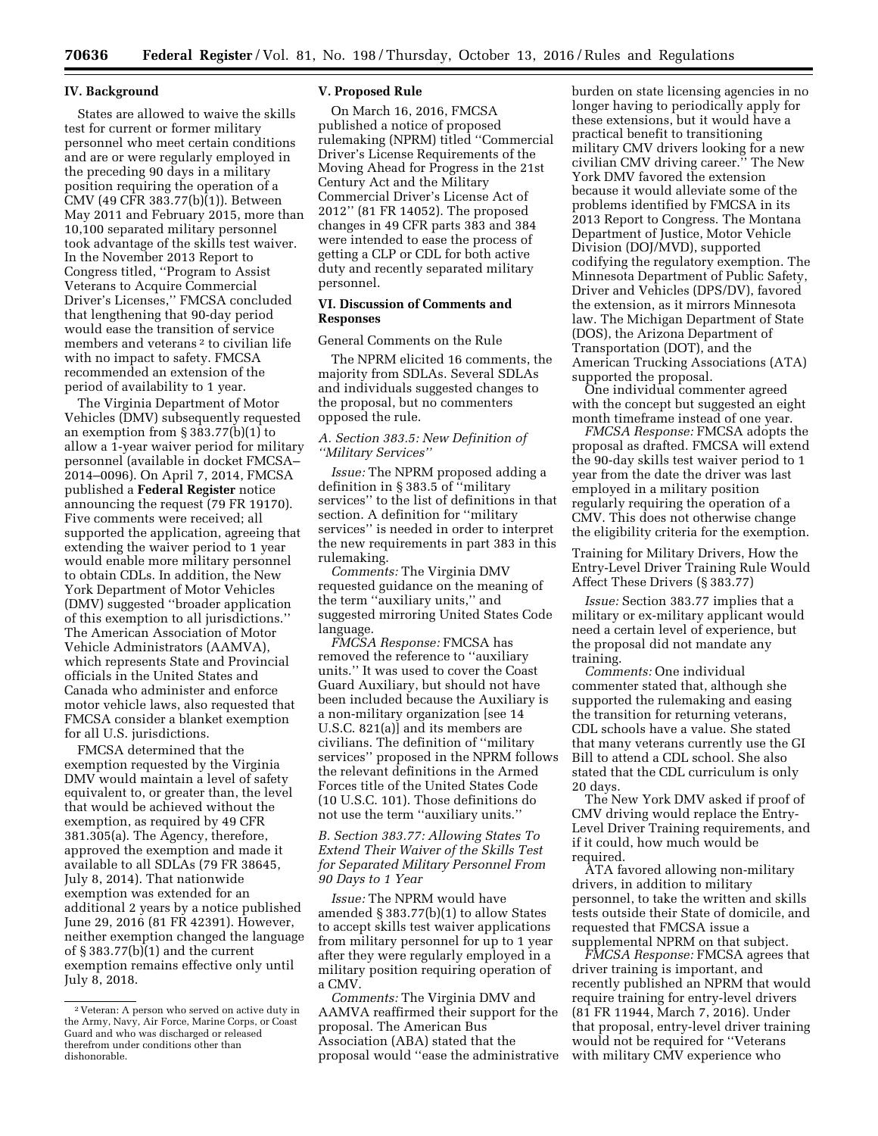#### **IV. Background**

States are allowed to waive the skills test for current or former military personnel who meet certain conditions and are or were regularly employed in the preceding 90 days in a military position requiring the operation of a CMV (49 CFR 383.77(b)(1)). Between May 2011 and February 2015, more than 10,100 separated military personnel took advantage of the skills test waiver. In the November 2013 Report to Congress titled, ''Program to Assist Veterans to Acquire Commercial Driver's Licenses,'' FMCSA concluded that lengthening that 90-day period would ease the transition of service members and veterans<sup>2</sup> to civilian life with no impact to safety. FMCSA recommended an extension of the period of availability to 1 year.

The Virginia Department of Motor Vehicles (DMV) subsequently requested an exemption from  $\S 383.77(b)(1)$  to allow a 1-year waiver period for military personnel (available in docket FMCSA– 2014–0096). On April 7, 2014, FMCSA published a **Federal Register** notice announcing the request (79 FR 19170). Five comments were received; all supported the application, agreeing that extending the waiver period to 1 year would enable more military personnel to obtain CDLs. In addition, the New York Department of Motor Vehicles (DMV) suggested ''broader application of this exemption to all jurisdictions.'' The American Association of Motor Vehicle Administrators (AAMVA), which represents State and Provincial officials in the United States and Canada who administer and enforce motor vehicle laws, also requested that FMCSA consider a blanket exemption for all U.S. jurisdictions.

FMCSA determined that the exemption requested by the Virginia DMV would maintain a level of safety equivalent to, or greater than, the level that would be achieved without the exemption, as required by 49 CFR 381.305(a). The Agency, therefore, approved the exemption and made it available to all SDLAs (79 FR 38645, July 8, 2014). That nationwide exemption was extended for an additional 2 years by a notice published June 29, 2016 (81 FR 42391). However, neither exemption changed the language of § 383.77(b)(1) and the current exemption remains effective only until July 8, 2018.

#### **V. Proposed Rule**

On March 16, 2016, FMCSA published a notice of proposed rulemaking (NPRM) titled ''Commercial Driver's License Requirements of the Moving Ahead for Progress in the 21st Century Act and the Military Commercial Driver's License Act of 2012'' (81 FR 14052). The proposed changes in 49 CFR parts 383 and 384 were intended to ease the process of getting a CLP or CDL for both active duty and recently separated military personnel.

## **VI. Discussion of Comments and Responses**

General Comments on the Rule

The NPRM elicited 16 comments, the majority from SDLAs. Several SDLAs and individuals suggested changes to the proposal, but no commenters opposed the rule.

### *A. Section 383.5: New Definition of ''Military Services''*

*Issue:* The NPRM proposed adding a definition in § 383.5 of ''military services'' to the list of definitions in that section. A definition for ''military services'' is needed in order to interpret the new requirements in part 383 in this rulemaking.

*Comments:* The Virginia DMV requested guidance on the meaning of the term ''auxiliary units,'' and suggested mirroring United States Code language.

*FMCSA Response:* FMCSA has removed the reference to ''auxiliary units.'' It was used to cover the Coast Guard Auxiliary, but should not have been included because the Auxiliary is a non-military organization [see 14 U.S.C. 821(a)] and its members are civilians. The definition of ''military services'' proposed in the NPRM follows the relevant definitions in the Armed Forces title of the United States Code (10 U.S.C. 101). Those definitions do not use the term ''auxiliary units.''

# *B. Section 383.77: Allowing States To Extend Their Waiver of the Skills Test for Separated Military Personnel From 90 Days to 1 Year*

*Issue:* The NPRM would have amended § 383.77(b)(1) to allow States to accept skills test waiver applications from military personnel for up to 1 year after they were regularly employed in a military position requiring operation of a CMV.

*Comments:* The Virginia DMV and AAMVA reaffirmed their support for the proposal. The American Bus Association (ABA) stated that the proposal would ''ease the administrative

burden on state licensing agencies in no longer having to periodically apply for these extensions, but it would have a practical benefit to transitioning military CMV drivers looking for a new civilian CMV driving career.'' The New York DMV favored the extension because it would alleviate some of the problems identified by FMCSA in its 2013 Report to Congress. The Montana Department of Justice, Motor Vehicle Division (DOJ/MVD), supported codifying the regulatory exemption. The Minnesota Department of Public Safety, Driver and Vehicles (DPS/DV), favored the extension, as it mirrors Minnesota law. The Michigan Department of State (DOS), the Arizona Department of Transportation (DOT), and the American Trucking Associations (ATA) supported the proposal.

One individual commenter agreed with the concept but suggested an eight month timeframe instead of one year.

*FMCSA Response:* FMCSA adopts the proposal as drafted. FMCSA will extend the 90-day skills test waiver period to 1 year from the date the driver was last employed in a military position regularly requiring the operation of a CMV. This does not otherwise change the eligibility criteria for the exemption.

Training for Military Drivers, How the Entry-Level Driver Training Rule Would Affect These Drivers (§ 383.77)

*Issue:* Section 383.77 implies that a military or ex-military applicant would need a certain level of experience, but the proposal did not mandate any training.

*Comments:* One individual commenter stated that, although she supported the rulemaking and easing the transition for returning veterans, CDL schools have a value. She stated that many veterans currently use the GI Bill to attend a CDL school. She also stated that the CDL curriculum is only 20 days.

The New York DMV asked if proof of CMV driving would replace the Entry-Level Driver Training requirements, and if it could, how much would be required.

ATA favored allowing non-military drivers, in addition to military personnel, to take the written and skills tests outside their State of domicile, and requested that FMCSA issue a supplemental NPRM on that subject.

*FMCSA Response:* FMCSA agrees that driver training is important, and recently published an NPRM that would require training for entry-level drivers (81 FR 11944, March 7, 2016). Under that proposal, entry-level driver training would not be required for ''Veterans with military CMV experience who

<sup>2</sup> Veteran: A person who served on active duty in the Army, Navy, Air Force, Marine Corps, or Coast Guard and who was discharged or released therefrom under conditions other than dishonorable.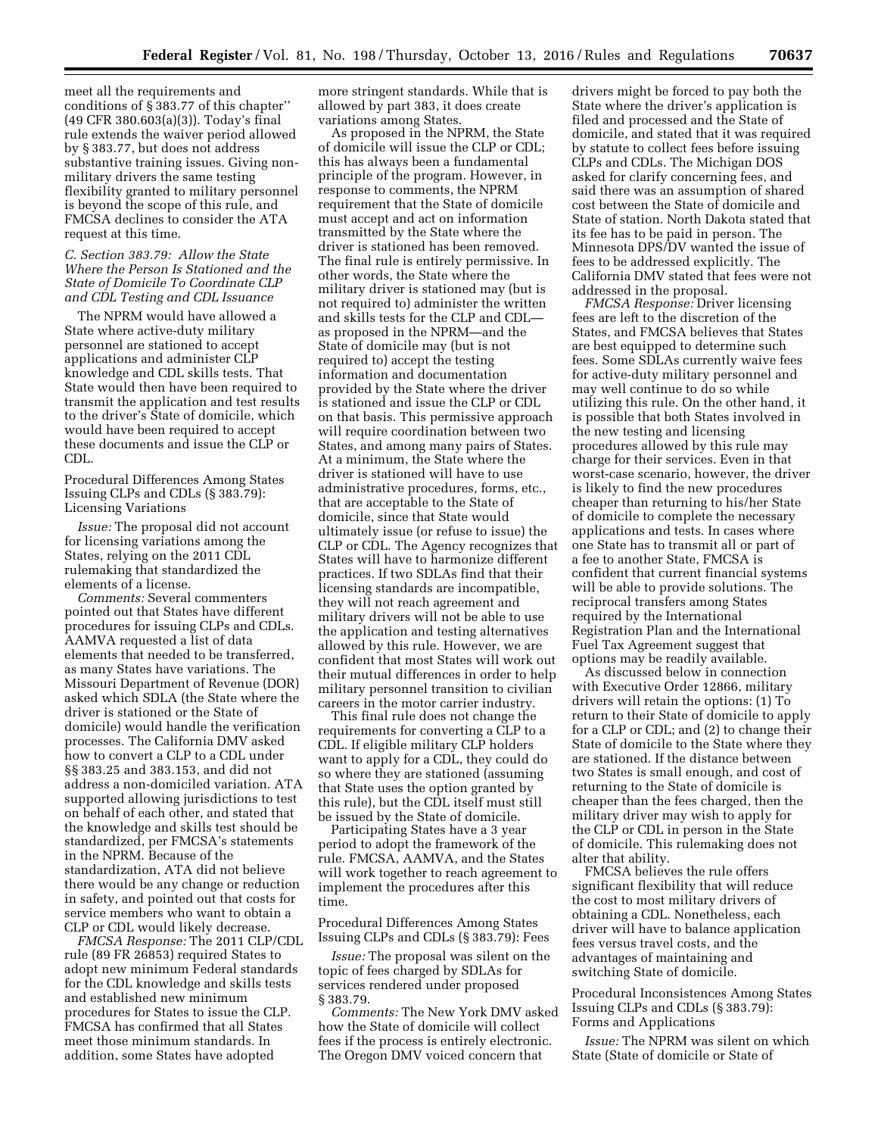meet all the requirements and conditions of § 383.77 of this chapter'' (49 CFR 380.603(a)(3)). Today's final rule extends the waiver period allowed by § 383.77, but does not address substantive training issues. Giving nonmilitary drivers the same testing flexibility granted to military personnel is beyond the scope of this rule, and FMCSA declines to consider the ATA request at this time.

## *C. Section 383.79: Allow the State Where the Person Is Stationed and the State of Domicile To Coordinate CLP and CDL Testing and CDL Issuance*

The NPRM would have allowed a State where active-duty military personnel are stationed to accept applications and administer CLP knowledge and CDL skills tests. That State would then have been required to transmit the application and test results to the driver's State of domicile, which would have been required to accept these documents and issue the CLP or CDL.

Procedural Differences Among States Issuing CLPs and CDLs (§ 383.79): Licensing Variations

*Issue:* The proposal did not account for licensing variations among the States, relying on the 2011 CDL rulemaking that standardized the elements of a license.

*Comments:* Several commenters pointed out that States have different procedures for issuing CLPs and CDLs. AAMVA requested a list of data elements that needed to be transferred, as many States have variations. The Missouri Department of Revenue (DOR) asked which SDLA (the State where the driver is stationed or the State of domicile) would handle the verification processes. The California DMV asked how to convert a CLP to a CDL under §§ 383.25 and 383.153, and did not address a non-domiciled variation. ATA supported allowing jurisdictions to test on behalf of each other, and stated that the knowledge and skills test should be standardized, per FMCSA's statements in the NPRM. Because of the standardization, ATA did not believe there would be any change or reduction in safety, and pointed out that costs for service members who want to obtain a CLP or CDL would likely decrease.

*FMCSA Response:* The 2011 CLP/CDL rule (89 FR 26853) required States to adopt new minimum Federal standards for the CDL knowledge and skills tests and established new minimum procedures for States to issue the CLP. FMCSA has confirmed that all States meet those minimum standards. In addition, some States have adopted

more stringent standards. While that is allowed by part 383, it does create variations among States.

As proposed in the NPRM, the State of domicile will issue the CLP or CDL; this has always been a fundamental principle of the program. However, in response to comments, the NPRM requirement that the State of domicile must accept and act on information transmitted by the State where the driver is stationed has been removed. The final rule is entirely permissive. In other words, the State where the military driver is stationed may (but is not required to) administer the written and skills tests for the CLP and CDL as proposed in the NPRM—and the State of domicile may (but is not required to) accept the testing information and documentation provided by the State where the driver is stationed and issue the CLP or CDL on that basis. This permissive approach will require coordination between two States, and among many pairs of States. At a minimum, the State where the driver is stationed will have to use administrative procedures, forms, etc., that are acceptable to the State of domicile, since that State would ultimately issue (or refuse to issue) the CLP or CDL. The Agency recognizes that States will have to harmonize different practices. If two SDLAs find that their licensing standards are incompatible, they will not reach agreement and military drivers will not be able to use the application and testing alternatives allowed by this rule. However, we are confident that most States will work out their mutual differences in order to help military personnel transition to civilian careers in the motor carrier industry.

This final rule does not change the requirements for converting a CLP to a CDL. If eligible military CLP holders want to apply for a CDL, they could do so where they are stationed (assuming that State uses the option granted by this rule), but the CDL itself must still be issued by the State of domicile.

Participating States have a 3 year period to adopt the framework of the rule. FMCSA, AAMVA, and the States will work together to reach agreement to implement the procedures after this time.

Procedural Differences Among States Issuing CLPs and CDLs (§ 383.79): Fees

*Issue:* The proposal was silent on the topic of fees charged by SDLAs for services rendered under proposed § 383.79.

*Comments:* The New York DMV asked how the State of domicile will collect fees if the process is entirely electronic. The Oregon DMV voiced concern that

drivers might be forced to pay both the State where the driver's application is filed and processed and the State of domicile, and stated that it was required by statute to collect fees before issuing CLPs and CDLs. The Michigan DOS asked for clarify concerning fees, and said there was an assumption of shared cost between the State of domicile and State of station. North Dakota stated that its fee has to be paid in person. The Minnesota DPS/DV wanted the issue of fees to be addressed explicitly. The California DMV stated that fees were not addressed in the proposal.

*FMCSA Response:* Driver licensing fees are left to the discretion of the States, and FMCSA believes that States are best equipped to determine such fees. Some SDLAs currently waive fees for active-duty military personnel and may well continue to do so while utilizing this rule. On the other hand, it is possible that both States involved in the new testing and licensing procedures allowed by this rule may charge for their services. Even in that worst-case scenario, however, the driver is likely to find the new procedures cheaper than returning to his/her State of domicile to complete the necessary applications and tests. In cases where one State has to transmit all or part of a fee to another State, FMCSA is confident that current financial systems will be able to provide solutions. The reciprocal transfers among States required by the International Registration Plan and the International Fuel Tax Agreement suggest that options may be readily available.

As discussed below in connection with Executive Order 12866, military drivers will retain the options: (1) To return to their State of domicile to apply for a CLP or CDL; and (2) to change their State of domicile to the State where they are stationed. If the distance between two States is small enough, and cost of returning to the State of domicile is cheaper than the fees charged, then the military driver may wish to apply for the CLP or CDL in person in the State of domicile. This rulemaking does not alter that ability.

FMCSA believes the rule offers significant flexibility that will reduce the cost to most military drivers of obtaining a CDL. Nonetheless, each driver will have to balance application fees versus travel costs, and the advantages of maintaining and switching State of domicile.

Procedural Inconsistences Among States Issuing CLPs and CDLs (§ 383.79): Forms and Applications

*Issue:* The NPRM was silent on which State (State of domicile or State of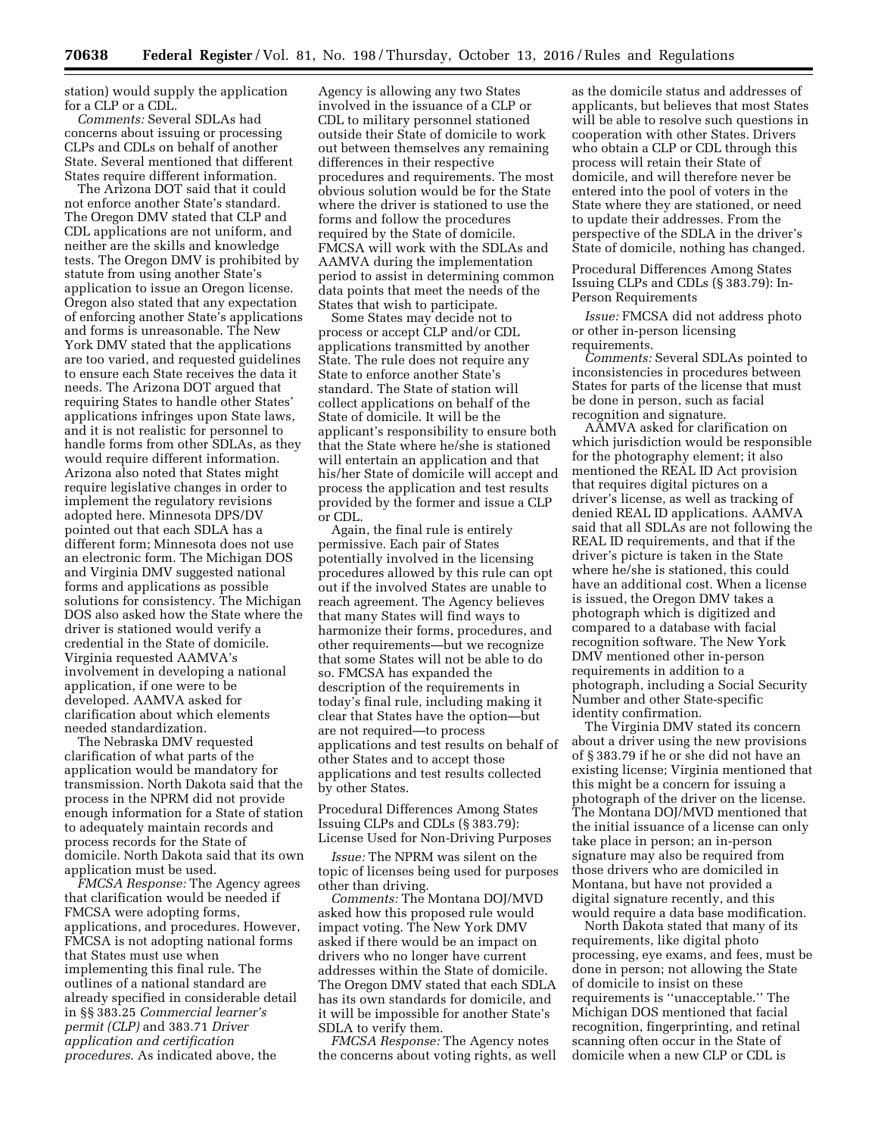station) would supply the application for a CLP or a CDL.

*Comments:* Several SDLAs had concerns about issuing or processing CLPs and CDLs on behalf of another State. Several mentioned that different States require different information.

The Arizona DOT said that it could not enforce another State's standard. The Oregon DMV stated that CLP and CDL applications are not uniform, and neither are the skills and knowledge tests. The Oregon DMV is prohibited by statute from using another State's application to issue an Oregon license. Oregon also stated that any expectation of enforcing another State's applications and forms is unreasonable. The New York DMV stated that the applications are too varied, and requested guidelines to ensure each State receives the data it needs. The Arizona DOT argued that requiring States to handle other States' applications infringes upon State laws, and it is not realistic for personnel to handle forms from other SDLAs, as they would require different information. Arizona also noted that States might require legislative changes in order to implement the regulatory revisions adopted here. Minnesota DPS/DV pointed out that each SDLA has a different form; Minnesota does not use an electronic form. The Michigan DOS and Virginia DMV suggested national forms and applications as possible solutions for consistency. The Michigan DOS also asked how the State where the driver is stationed would verify a credential in the State of domicile. Virginia requested AAMVA's involvement in developing a national application, if one were to be developed. AAMVA asked for clarification about which elements needed standardization.

The Nebraska DMV requested clarification of what parts of the application would be mandatory for transmission. North Dakota said that the process in the NPRM did not provide enough information for a State of station to adequately maintain records and process records for the State of domicile. North Dakota said that its own application must be used.

*FMCSA Response:* The Agency agrees that clarification would be needed if FMCSA were adopting forms, applications, and procedures. However, FMCSA is not adopting national forms that States must use when implementing this final rule. The outlines of a national standard are already specified in considerable detail in §§ 383.25 *Commercial learner's permit (CLP)* and 383.71 *Driver application and certification procedures*. As indicated above, the

Agency is allowing any two States involved in the issuance of a CLP or CDL to military personnel stationed outside their State of domicile to work out between themselves any remaining differences in their respective procedures and requirements. The most obvious solution would be for the State where the driver is stationed to use the forms and follow the procedures required by the State of domicile. FMCSA will work with the SDLAs and AAMVA during the implementation period to assist in determining common data points that meet the needs of the States that wish to participate.

Some States may decide not to process or accept CLP and/or CDL applications transmitted by another State. The rule does not require any State to enforce another State's standard. The State of station will collect applications on behalf of the State of domicile. It will be the applicant's responsibility to ensure both that the State where he/she is stationed will entertain an application and that his/her State of domicile will accept and process the application and test results provided by the former and issue a CLP or CDL.

Again, the final rule is entirely permissive. Each pair of States potentially involved in the licensing procedures allowed by this rule can opt out if the involved States are unable to reach agreement. The Agency believes that many States will find ways to harmonize their forms, procedures, and other requirements—but we recognize that some States will not be able to do so. FMCSA has expanded the description of the requirements in today's final rule, including making it clear that States have the option—but are not required—to process applications and test results on behalf of other States and to accept those applications and test results collected by other States.

Procedural Differences Among States Issuing CLPs and CDLs (§ 383.79): License Used for Non-Driving Purposes

*Issue:* The NPRM was silent on the topic of licenses being used for purposes other than driving.

*Comments:* The Montana DOJ/MVD asked how this proposed rule would impact voting. The New York DMV asked if there would be an impact on drivers who no longer have current addresses within the State of domicile. The Oregon DMV stated that each SDLA has its own standards for domicile, and it will be impossible for another State's SDLA to verify them.

*FMCSA Response:* The Agency notes the concerns about voting rights, as well as the domicile status and addresses of applicants, but believes that most States will be able to resolve such questions in cooperation with other States. Drivers who obtain a CLP or CDL through this process will retain their State of domicile, and will therefore never be entered into the pool of voters in the State where they are stationed, or need to update their addresses. From the perspective of the SDLA in the driver's State of domicile, nothing has changed.

Procedural Differences Among States Issuing CLPs and CDLs (§ 383.79): In-Person Requirements

*Issue:* FMCSA did not address photo or other in-person licensing requirements.

*Comments:* Several SDLAs pointed to inconsistencies in procedures between States for parts of the license that must be done in person, such as facial recognition and signature.

AAMVA asked for clarification on which jurisdiction would be responsible for the photography element; it also mentioned the REAL ID Act provision that requires digital pictures on a driver's license, as well as tracking of denied REAL ID applications. AAMVA said that all SDLAs are not following the REAL ID requirements, and that if the driver's picture is taken in the State where he/she is stationed, this could have an additional cost. When a license is issued, the Oregon DMV takes a photograph which is digitized and compared to a database with facial recognition software. The New York DMV mentioned other in-person requirements in addition to a photograph, including a Social Security Number and other State-specific identity confirmation.

The Virginia DMV stated its concern about a driver using the new provisions of § 383.79 if he or she did not have an existing license; Virginia mentioned that this might be a concern for issuing a photograph of the driver on the license. The Montana DOJ/MVD mentioned that the initial issuance of a license can only take place in person; an in-person signature may also be required from those drivers who are domiciled in Montana, but have not provided a digital signature recently, and this would require a data base modification.

North Dakota stated that many of its requirements, like digital photo processing, eye exams, and fees, must be done in person; not allowing the State of domicile to insist on these requirements is ''unacceptable.'' The Michigan DOS mentioned that facial recognition, fingerprinting, and retinal scanning often occur in the State of domicile when a new CLP or CDL is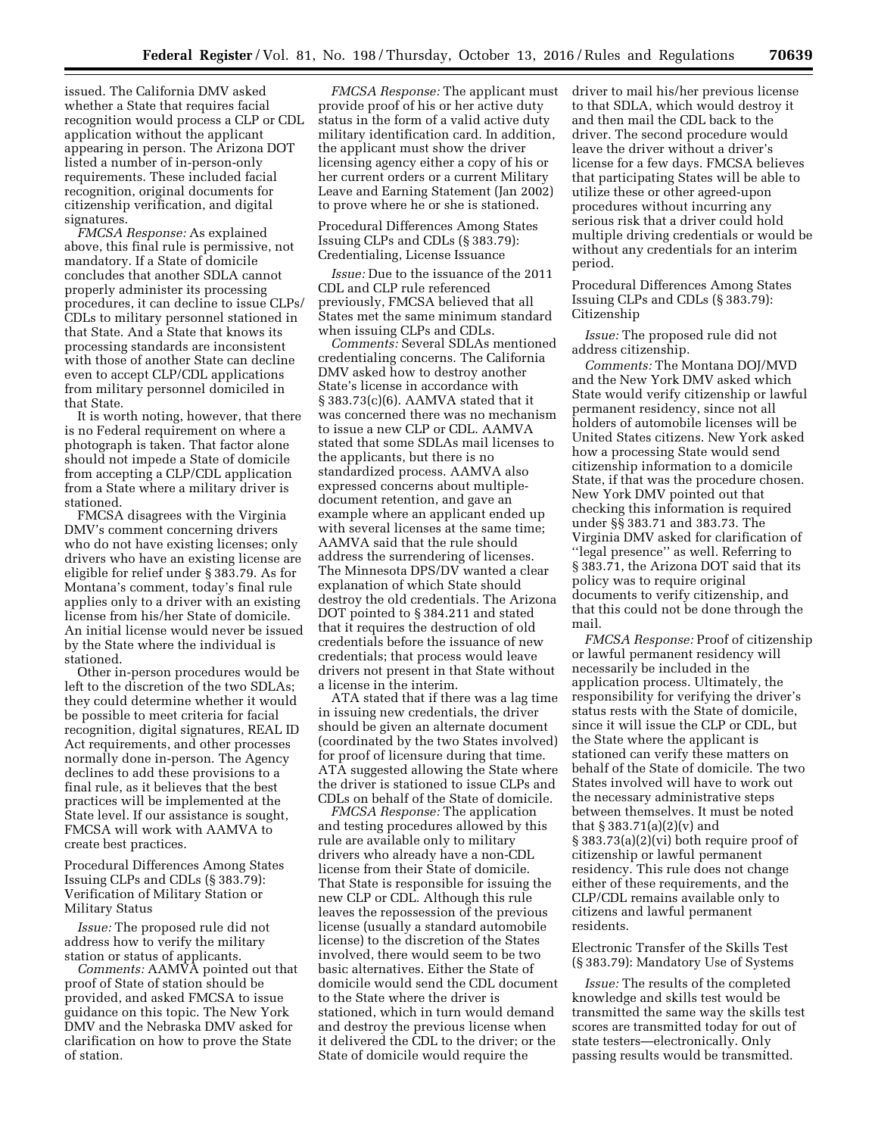issued. The California DMV asked whether a State that requires facial recognition would process a CLP or CDL application without the applicant appearing in person. The Arizona DOT listed a number of in-person-only requirements. These included facial recognition, original documents for citizenship verification, and digital signatures.

*FMCSA Response:* As explained above, this final rule is permissive, not mandatory. If a State of domicile concludes that another SDLA cannot properly administer its processing procedures, it can decline to issue CLPs/ CDLs to military personnel stationed in that State. And a State that knows its processing standards are inconsistent with those of another State can decline even to accept CLP/CDL applications from military personnel domiciled in that State.

It is worth noting, however, that there is no Federal requirement on where a photograph is taken. That factor alone should not impede a State of domicile from accepting a CLP/CDL application from a State where a military driver is stationed.

FMCSA disagrees with the Virginia DMV's comment concerning drivers who do not have existing licenses; only drivers who have an existing license are eligible for relief under § 383.79. As for Montana's comment, today's final rule applies only to a driver with an existing license from his/her State of domicile. An initial license would never be issued by the State where the individual is stationed.

Other in-person procedures would be left to the discretion of the two SDLAs; they could determine whether it would be possible to meet criteria for facial recognition, digital signatures, REAL ID Act requirements, and other processes normally done in-person. The Agency declines to add these provisions to a final rule, as it believes that the best practices will be implemented at the State level. If our assistance is sought, FMCSA will work with AAMVA to create best practices.

Procedural Differences Among States Issuing CLPs and CDLs (§ 383.79): Verification of Military Station or Military Status

*Issue:* The proposed rule did not address how to verify the military station or status of applicants.

*Comments:* AAMVA pointed out that proof of State of station should be provided, and asked FMCSA to issue guidance on this topic. The New York DMV and the Nebraska DMV asked for clarification on how to prove the State of station.

*FMCSA Response:* The applicant must provide proof of his or her active duty status in the form of a valid active duty military identification card. In addition, the applicant must show the driver licensing agency either a copy of his or her current orders or a current Military Leave and Earning Statement (Jan 2002) to prove where he or she is stationed.

Procedural Differences Among States Issuing CLPs and CDLs (§ 383.79): Credentialing, License Issuance

*Issue:* Due to the issuance of the 2011 CDL and CLP rule referenced previously, FMCSA believed that all States met the same minimum standard when issuing CLPs and CDLs.

*Comments:* Several SDLAs mentioned credentialing concerns. The California DMV asked how to destroy another State's license in accordance with § 383.73(c)(6). AAMVA stated that it was concerned there was no mechanism to issue a new CLP or CDL. AAMVA stated that some SDLAs mail licenses to the applicants, but there is no standardized process. AAMVA also expressed concerns about multipledocument retention, and gave an example where an applicant ended up with several licenses at the same time; AAMVA said that the rule should address the surrendering of licenses. The Minnesota DPS/DV wanted a clear explanation of which State should destroy the old credentials. The Arizona DOT pointed to § 384.211 and stated that it requires the destruction of old credentials before the issuance of new credentials; that process would leave drivers not present in that State without a license in the interim.

ATA stated that if there was a lag time in issuing new credentials, the driver should be given an alternate document (coordinated by the two States involved) for proof of licensure during that time. ATA suggested allowing the State where the driver is stationed to issue CLPs and CDLs on behalf of the State of domicile.

*FMCSA Response:* The application and testing procedures allowed by this rule are available only to military drivers who already have a non-CDL license from their State of domicile. That State is responsible for issuing the new CLP or CDL. Although this rule leaves the repossession of the previous license (usually a standard automobile license) to the discretion of the States involved, there would seem to be two basic alternatives. Either the State of domicile would send the CDL document to the State where the driver is stationed, which in turn would demand and destroy the previous license when it delivered the CDL to the driver; or the State of domicile would require the

driver to mail his/her previous license to that SDLA, which would destroy it and then mail the CDL back to the driver. The second procedure would leave the driver without a driver's license for a few days. FMCSA believes that participating States will be able to utilize these or other agreed-upon procedures without incurring any serious risk that a driver could hold multiple driving credentials or would be without any credentials for an interim period.

Procedural Differences Among States Issuing CLPs and CDLs (§ 383.79): Citizenship

*Issue:* The proposed rule did not address citizenship.

*Comments:* The Montana DOJ/MVD and the New York DMV asked which State would verify citizenship or lawful permanent residency, since not all holders of automobile licenses will be United States citizens. New York asked how a processing State would send citizenship information to a domicile State, if that was the procedure chosen. New York DMV pointed out that checking this information is required under §§ 383.71 and 383.73. The Virginia DMV asked for clarification of ''legal presence'' as well. Referring to § 383.71, the Arizona DOT said that its policy was to require original documents to verify citizenship, and that this could not be done through the mail.

*FMCSA Response:* Proof of citizenship or lawful permanent residency will necessarily be included in the application process. Ultimately, the responsibility for verifying the driver's status rests with the State of domicile, since it will issue the CLP or CDL, but the State where the applicant is stationed can verify these matters on behalf of the State of domicile. The two States involved will have to work out the necessary administrative steps between themselves. It must be noted that § 383.71(a)(2)(v) and § 383.73(a)(2)(vi) both require proof of citizenship or lawful permanent residency. This rule does not change either of these requirements, and the CLP/CDL remains available only to citizens and lawful permanent residents.

Electronic Transfer of the Skills Test (§ 383.79): Mandatory Use of Systems

*Issue:* The results of the completed knowledge and skills test would be transmitted the same way the skills test scores are transmitted today for out of state testers—electronically. Only passing results would be transmitted.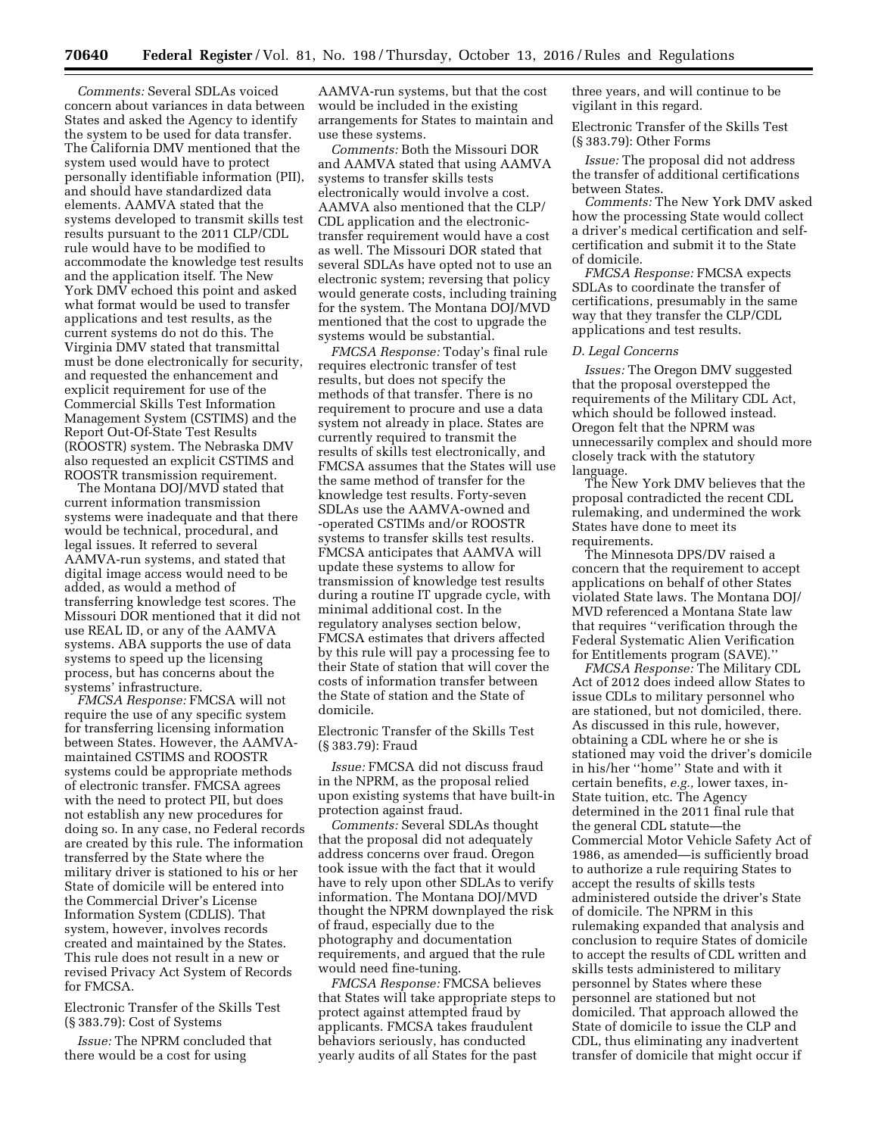*Comments:* Several SDLAs voiced concern about variances in data between States and asked the Agency to identify the system to be used for data transfer. The California DMV mentioned that the system used would have to protect personally identifiable information (PII), and should have standardized data elements. AAMVA stated that the systems developed to transmit skills test results pursuant to the 2011 CLP/CDL rule would have to be modified to accommodate the knowledge test results and the application itself. The New York DMV echoed this point and asked what format would be used to transfer applications and test results, as the current systems do not do this. The Virginia DMV stated that transmittal must be done electronically for security, and requested the enhancement and explicit requirement for use of the Commercial Skills Test Information Management System (CSTIMS) and the Report Out-Of-State Test Results (ROOSTR) system. The Nebraska DMV also requested an explicit CSTIMS and ROOSTR transmission requirement.

The Montana DOJ/MVD stated that current information transmission systems were inadequate and that there would be technical, procedural, and legal issues. It referred to several AAMVA-run systems, and stated that digital image access would need to be added, as would a method of transferring knowledge test scores. The Missouri DOR mentioned that it did not use REAL ID, or any of the AAMVA systems. ABA supports the use of data systems to speed up the licensing process, but has concerns about the systems' infrastructure.

*FMCSA Response:* FMCSA will not require the use of any specific system for transferring licensing information between States. However, the AAMVAmaintained CSTIMS and ROOSTR systems could be appropriate methods of electronic transfer. FMCSA agrees with the need to protect PII, but does not establish any new procedures for doing so. In any case, no Federal records are created by this rule. The information transferred by the State where the military driver is stationed to his or her State of domicile will be entered into the Commercial Driver's License Information System (CDLIS). That system, however, involves records created and maintained by the States. This rule does not result in a new or revised Privacy Act System of Records for FMCSA.

Electronic Transfer of the Skills Test (§ 383.79): Cost of Systems

*Issue:* The NPRM concluded that there would be a cost for using

AAMVA-run systems, but that the cost would be included in the existing arrangements for States to maintain and use these systems.

*Comments:* Both the Missouri DOR and AAMVA stated that using AAMVA systems to transfer skills tests electronically would involve a cost. AAMVA also mentioned that the CLP/ CDL application and the electronictransfer requirement would have a cost as well. The Missouri DOR stated that several SDLAs have opted not to use an electronic system; reversing that policy would generate costs, including training for the system. The Montana DOJ/MVD mentioned that the cost to upgrade the systems would be substantial.

*FMCSA Response:* Today's final rule requires electronic transfer of test results, but does not specify the methods of that transfer. There is no requirement to procure and use a data system not already in place. States are currently required to transmit the results of skills test electronically, and FMCSA assumes that the States will use the same method of transfer for the knowledge test results. Forty-seven SDLAs use the AAMVA-owned and -operated CSTIMs and/or ROOSTR systems to transfer skills test results. FMCSA anticipates that AAMVA will update these systems to allow for transmission of knowledge test results during a routine IT upgrade cycle, with minimal additional cost. In the regulatory analyses section below, FMCSA estimates that drivers affected by this rule will pay a processing fee to their State of station that will cover the costs of information transfer between the State of station and the State of domicile.

Electronic Transfer of the Skills Test (§ 383.79): Fraud

*Issue:* FMCSA did not discuss fraud in the NPRM, as the proposal relied upon existing systems that have built-in protection against fraud.

*Comments:* Several SDLAs thought that the proposal did not adequately address concerns over fraud. Oregon took issue with the fact that it would have to rely upon other SDLAs to verify information. The Montana DOJ/MVD thought the NPRM downplayed the risk of fraud, especially due to the photography and documentation requirements, and argued that the rule would need fine-tuning.

*FMCSA Response:* FMCSA believes that States will take appropriate steps to protect against attempted fraud by applicants. FMCSA takes fraudulent behaviors seriously, has conducted yearly audits of all States for the past

three years, and will continue to be vigilant in this regard.

Electronic Transfer of the Skills Test (§ 383.79): Other Forms

*Issue:* The proposal did not address the transfer of additional certifications between States.

*Comments:* The New York DMV asked how the processing State would collect a driver's medical certification and selfcertification and submit it to the State of domicile.

*FMCSA Response:* FMCSA expects SDLAs to coordinate the transfer of certifications, presumably in the same way that they transfer the CLP/CDL applications and test results.

## *D. Legal Concerns*

*Issues:* The Oregon DMV suggested that the proposal overstepped the requirements of the Military CDL Act, which should be followed instead. Oregon felt that the NPRM was unnecessarily complex and should more closely track with the statutory language.

The New York DMV believes that the proposal contradicted the recent CDL rulemaking, and undermined the work States have done to meet its requirements.

The Minnesota DPS/DV raised a concern that the requirement to accept applications on behalf of other States violated State laws. The Montana DOJ/ MVD referenced a Montana State law that requires ''verification through the Federal Systematic Alien Verification for Entitlements program (SAVE).''

*FMCSA Response:* The Military CDL Act of 2012 does indeed allow States to issue CDLs to military personnel who are stationed, but not domiciled, there. As discussed in this rule, however, obtaining a CDL where he or she is stationed may void the driver's domicile in his/her ''home'' State and with it certain benefits, *e.g.,* lower taxes, in-State tuition, etc. The Agency determined in the 2011 final rule that the general CDL statute—the Commercial Motor Vehicle Safety Act of 1986, as amended—is sufficiently broad to authorize a rule requiring States to accept the results of skills tests administered outside the driver's State of domicile. The NPRM in this rulemaking expanded that analysis and conclusion to require States of domicile to accept the results of CDL written and skills tests administered to military personnel by States where these personnel are stationed but not domiciled. That approach allowed the State of domicile to issue the CLP and CDL, thus eliminating any inadvertent transfer of domicile that might occur if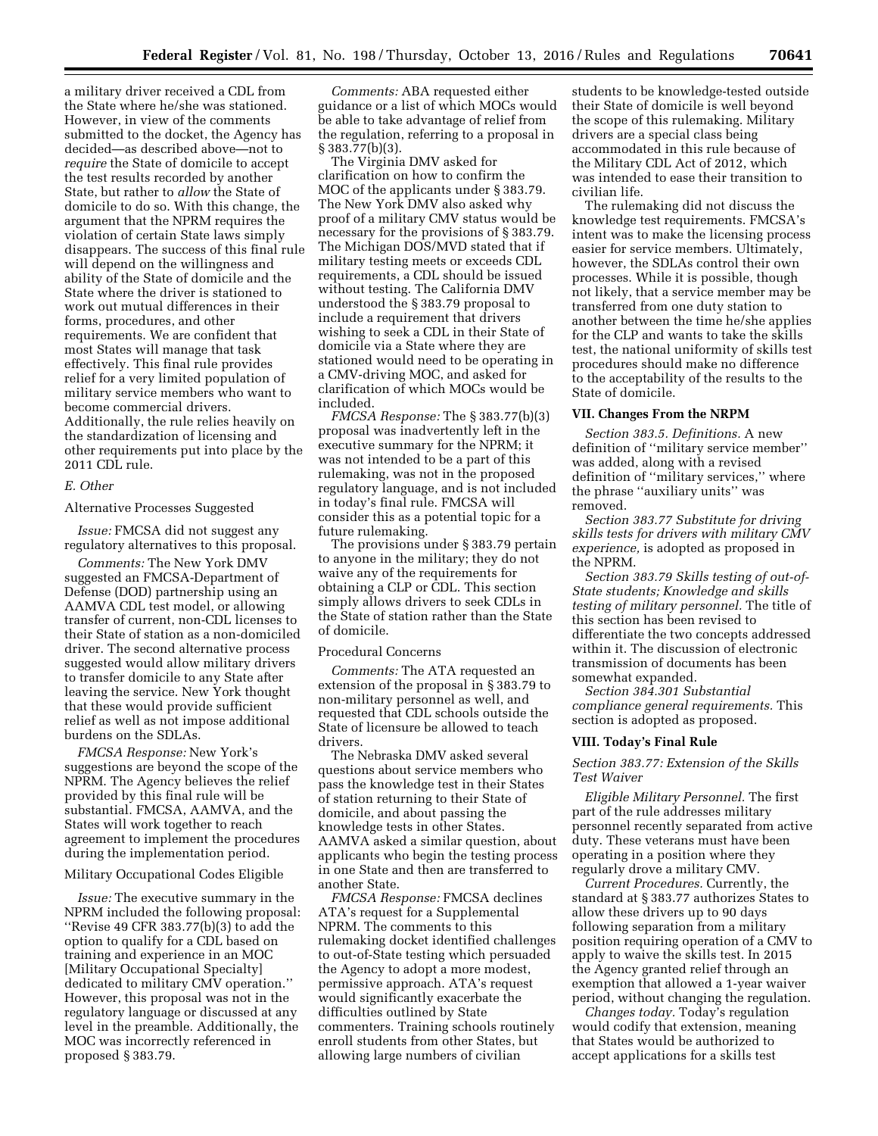a military driver received a CDL from the State where he/she was stationed. However, in view of the comments submitted to the docket, the Agency has decided—as described above—not to *require* the State of domicile to accept the test results recorded by another State, but rather to *allow* the State of domicile to do so. With this change, the argument that the NPRM requires the violation of certain State laws simply disappears. The success of this final rule will depend on the willingness and ability of the State of domicile and the State where the driver is stationed to work out mutual differences in their forms, procedures, and other requirements. We are confident that most States will manage that task effectively. This final rule provides relief for a very limited population of military service members who want to become commercial drivers. Additionally, the rule relies heavily on the standardization of licensing and other requirements put into place by the 2011 CDL rule.

# *E. Other*

Alternative Processes Suggested

*Issue:* FMCSA did not suggest any regulatory alternatives to this proposal.

*Comments:* The New York DMV suggested an FMCSA-Department of Defense (DOD) partnership using an AAMVA CDL test model, or allowing transfer of current, non-CDL licenses to their State of station as a non-domiciled driver. The second alternative process suggested would allow military drivers to transfer domicile to any State after leaving the service. New York thought that these would provide sufficient relief as well as not impose additional burdens on the SDLAs.

*FMCSA Response:* New York's suggestions are beyond the scope of the NPRM. The Agency believes the relief provided by this final rule will be substantial. FMCSA, AAMVA, and the States will work together to reach agreement to implement the procedures during the implementation period.

Military Occupational Codes Eligible

*Issue:* The executive summary in the NPRM included the following proposal: ''Revise 49 CFR 383.77(b)(3) to add the option to qualify for a CDL based on training and experience in an MOC [Military Occupational Specialty] dedicated to military CMV operation.'' However, this proposal was not in the regulatory language or discussed at any level in the preamble. Additionally, the MOC was incorrectly referenced in proposed § 383.79.

*Comments:* ABA requested either guidance or a list of which MOCs would be able to take advantage of relief from the regulation, referring to a proposal in § 383.77(b)(3).

The Virginia DMV asked for clarification on how to confirm the MOC of the applicants under § 383.79. The New York DMV also asked why proof of a military CMV status would be necessary for the provisions of § 383.79. The Michigan DOS/MVD stated that if military testing meets or exceeds CDL requirements, a CDL should be issued without testing. The California DMV understood the § 383.79 proposal to include a requirement that drivers wishing to seek a CDL in their State of domicile via a State where they are stationed would need to be operating in a CMV-driving MOC, and asked for clarification of which MOCs would be included.

*FMCSA Response:* The § 383.77(b)(3) proposal was inadvertently left in the executive summary for the NPRM; it was not intended to be a part of this rulemaking, was not in the proposed regulatory language, and is not included in today's final rule. FMCSA will consider this as a potential topic for a future rulemaking.

The provisions under § 383.79 pertain to anyone in the military; they do not waive any of the requirements for obtaining a CLP or CDL. This section simply allows drivers to seek CDLs in the State of station rather than the State of domicile.

#### Procedural Concerns

*Comments:* The ATA requested an extension of the proposal in § 383.79 to non-military personnel as well, and requested that CDL schools outside the State of licensure be allowed to teach drivers.

The Nebraska DMV asked several questions about service members who pass the knowledge test in their States of station returning to their State of domicile, and about passing the knowledge tests in other States. AAMVA asked a similar question, about applicants who begin the testing process in one State and then are transferred to another State.

*FMCSA Response:* FMCSA declines ATA's request for a Supplemental NPRM. The comments to this rulemaking docket identified challenges to out-of-State testing which persuaded the Agency to adopt a more modest, permissive approach. ATA's request would significantly exacerbate the difficulties outlined by State commenters. Training schools routinely enroll students from other States, but allowing large numbers of civilian

students to be knowledge-tested outside their State of domicile is well beyond the scope of this rulemaking. Military drivers are a special class being accommodated in this rule because of the Military CDL Act of 2012, which was intended to ease their transition to civilian life.

The rulemaking did not discuss the knowledge test requirements. FMCSA's intent was to make the licensing process easier for service members. Ultimately, however, the SDLAs control their own processes. While it is possible, though not likely, that a service member may be transferred from one duty station to another between the time he/she applies for the CLP and wants to take the skills test, the national uniformity of skills test procedures should make no difference to the acceptability of the results to the State of domicile.

# **VII. Changes From the NRPM**

*Section 383.5. Definitions.* A new definition of ''military service member'' was added, along with a revised definition of ''military services,'' where the phrase ''auxiliary units'' was removed.

*Section 383.77 Substitute for driving skills tests for drivers with military CMV experience,* is adopted as proposed in the NPRM.

*Section 383.79 Skills testing of out-of-State students; Knowledge and skills testing of military personnel.* The title of this section has been revised to differentiate the two concepts addressed within it. The discussion of electronic transmission of documents has been somewhat expanded.

*Section 384.301 Substantial compliance general requirements.* This section is adopted as proposed.

#### **VIII. Today's Final Rule**

*Section 383.77: Extension of the Skills Test Waiver* 

*Eligible Military Personnel.* The first part of the rule addresses military personnel recently separated from active duty. These veterans must have been operating in a position where they regularly drove a military CMV.

*Current Procedures.* Currently, the standard at § 383.77 authorizes States to allow these drivers up to 90 days following separation from a military position requiring operation of a CMV to apply to waive the skills test. In 2015 the Agency granted relief through an exemption that allowed a 1-year waiver period, without changing the regulation.

*Changes today.* Today's regulation would codify that extension, meaning that States would be authorized to accept applications for a skills test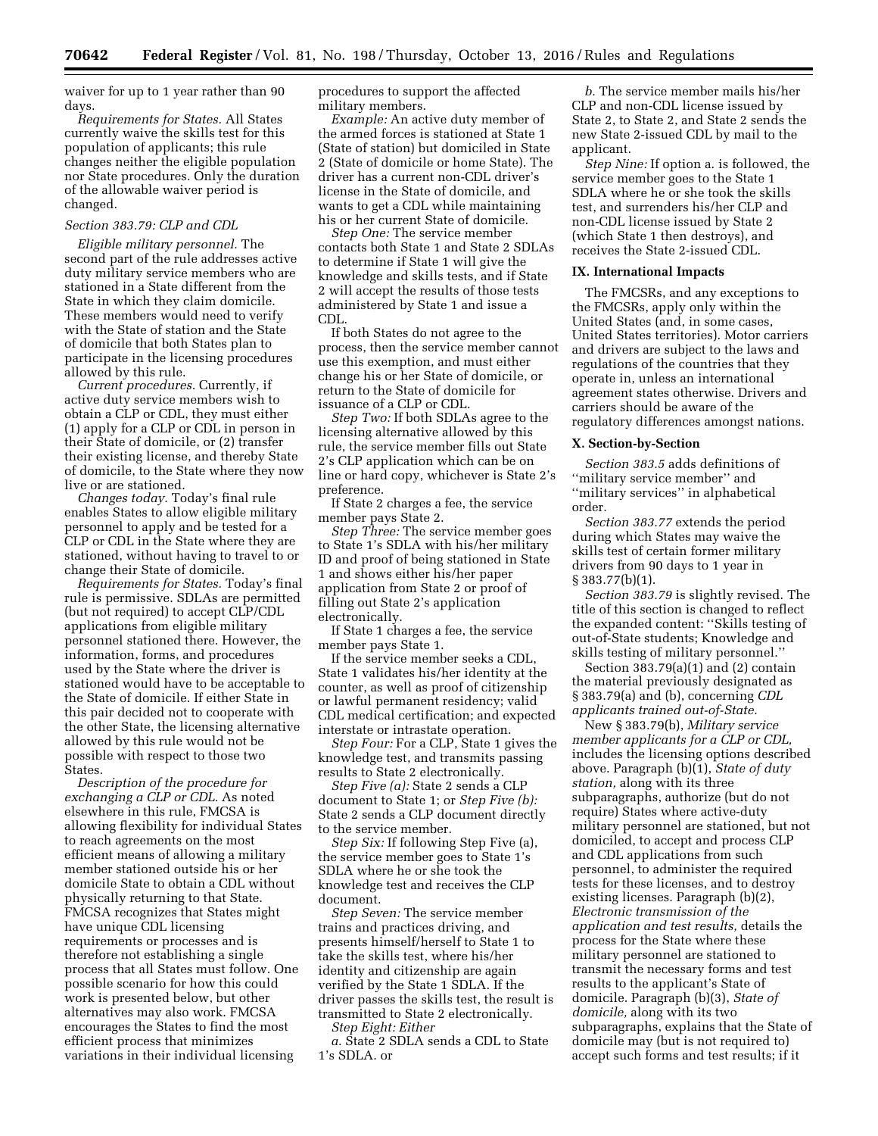waiver for up to 1 year rather than 90 days.

*Requirements for States.* All States currently waive the skills test for this population of applicants; this rule changes neither the eligible population nor State procedures. Only the duration of the allowable waiver period is changed.

# *Section 383.79: CLP and CDL*

*Eligible military personnel.* The second part of the rule addresses active duty military service members who are stationed in a State different from the State in which they claim domicile. These members would need to verify with the State of station and the State of domicile that both States plan to participate in the licensing procedures allowed by this rule.

*Current procedures.* Currently, if active duty service members wish to obtain a CLP or CDL, they must either (1) apply for a CLP or CDL in person in their State of domicile, or (2) transfer their existing license, and thereby State of domicile, to the State where they now live or are stationed.

*Changes today.* Today's final rule enables States to allow eligible military personnel to apply and be tested for a CLP or CDL in the State where they are stationed, without having to travel to or change their State of domicile.

*Requirements for States.* Today's final rule is permissive. SDLAs are permitted (but not required) to accept CLP/CDL applications from eligible military personnel stationed there. However, the information, forms, and procedures used by the State where the driver is stationed would have to be acceptable to the State of domicile. If either State in this pair decided not to cooperate with the other State, the licensing alternative allowed by this rule would not be possible with respect to those two States.

*Description of the procedure for exchanging a CLP or CDL.* As noted elsewhere in this rule, FMCSA is allowing flexibility for individual States to reach agreements on the most efficient means of allowing a military member stationed outside his or her domicile State to obtain a CDL without physically returning to that State. FMCSA recognizes that States might have unique CDL licensing requirements or processes and is therefore not establishing a single process that all States must follow. One possible scenario for how this could work is presented below, but other alternatives may also work. FMCSA encourages the States to find the most efficient process that minimizes variations in their individual licensing

procedures to support the affected military members.

*Example:* An active duty member of the armed forces is stationed at State 1 (State of station) but domiciled in State 2 (State of domicile or home State). The driver has a current non-CDL driver's license in the State of domicile, and wants to get a CDL while maintaining his or her current State of domicile.

*Step One:* The service member contacts both State 1 and State 2 SDLAs to determine if State 1 will give the knowledge and skills tests, and if State 2 will accept the results of those tests administered by State 1 and issue a CDL.

If both States do not agree to the process, then the service member cannot use this exemption, and must either change his or her State of domicile, or return to the State of domicile for issuance of a CLP or CDL.

*Step Two:* If both SDLAs agree to the licensing alternative allowed by this rule, the service member fills out State 2's CLP application which can be on line or hard copy, whichever is State 2's preference.

If State 2 charges a fee, the service member pays State 2.

*Step Three:* The service member goes to State 1's SDLA with his/her military ID and proof of being stationed in State 1 and shows either his/her paper application from State 2 or proof of filling out State 2's application electronically.

If State 1 charges a fee, the service member pays State 1.

If the service member seeks a CDL, State 1 validates his/her identity at the counter, as well as proof of citizenship or lawful permanent residency; valid CDL medical certification; and expected interstate or intrastate operation.

*Step Four:* For a CLP, State 1 gives the knowledge test, and transmits passing results to State 2 electronically.

*Step Five (a):* State 2 sends a CLP document to State 1; or *Step Five (b):*  State 2 sends a CLP document directly to the service member.

*Step Six:* If following Step Five (a), the service member goes to State 1's SDLA where he or she took the knowledge test and receives the CLP document.

*Step Seven:* The service member trains and practices driving, and presents himself/herself to State 1 to take the skills test, where his/her identity and citizenship are again verified by the State 1 SDLA. If the driver passes the skills test, the result is transmitted to State 2 electronically. *Step Eight: Either* 

*a.* State 2 SDLA sends a CDL to State 1's SDLA. or

*b.* The service member mails his/her CLP and non-CDL license issued by State 2, to State 2, and State 2 sends the new State 2-issued CDL by mail to the applicant.

*Step Nine:* If option a. is followed, the service member goes to the State 1 SDLA where he or she took the skills test, and surrenders his/her CLP and non-CDL license issued by State 2 (which State 1 then destroys), and receives the State 2-issued CDL.

#### **IX. International Impacts**

The FMCSRs, and any exceptions to the FMCSRs, apply only within the United States (and, in some cases, United States territories). Motor carriers and drivers are subject to the laws and regulations of the countries that they operate in, unless an international agreement states otherwise. Drivers and carriers should be aware of the regulatory differences amongst nations.

#### **X. Section-by-Section**

*Section 383.5* adds definitions of ''military service member'' and ''military services'' in alphabetical order.

*Section 383.77* extends the period during which States may waive the skills test of certain former military drivers from 90 days to 1 year in § 383.77(b)(1).

*Section 383.79* is slightly revised. The title of this section is changed to reflect the expanded content: ''Skills testing of out-of-State students; Knowledge and skills testing of military personnel.''

Section 383.79(a)(1) and (2) contain the material previously designated as § 383.79(a) and (b), concerning *CDL applicants trained out-of-State.* 

New § 383.79(b), *Military service member applicants for a CLP or CDL,*  includes the licensing options described above. Paragraph (b)(1), *State of duty station,* along with its three subparagraphs, authorize (but do not require) States where active-duty military personnel are stationed, but not domiciled, to accept and process CLP and CDL applications from such personnel, to administer the required tests for these licenses, and to destroy existing licenses. Paragraph (b)(2), *Electronic transmission of the application and test results,* details the process for the State where these military personnel are stationed to transmit the necessary forms and test results to the applicant's State of domicile. Paragraph (b)(3), *State of domicile,* along with its two subparagraphs, explains that the State of domicile may (but is not required to) accept such forms and test results; if it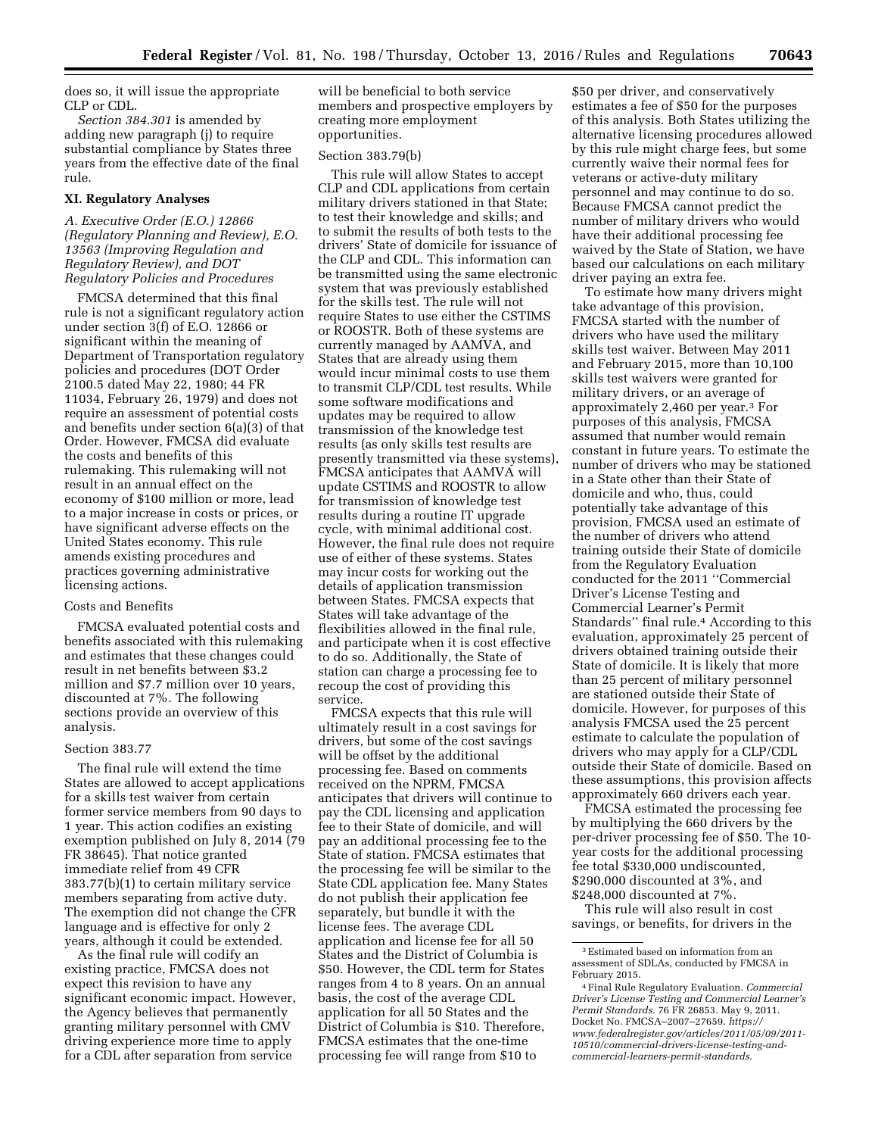does so, it will issue the appropriate CLP or CDL.

*Section 384.301* is amended by adding new paragraph (j) to require substantial compliance by States three years from the effective date of the final rule.

#### **XI. Regulatory Analyses**

# *A. Executive Order (E.O.) 12866 (Regulatory Planning and Review), E.O. 13563 (Improving Regulation and Regulatory Review), and DOT Regulatory Policies and Procedures*

FMCSA determined that this final rule is not a significant regulatory action under section 3(f) of E.O. 12866 or significant within the meaning of Department of Transportation regulatory policies and procedures (DOT Order 2100.5 dated May 22, 1980; 44 FR 11034, February 26, 1979) and does not require an assessment of potential costs and benefits under section 6(a)(3) of that Order. However, FMCSA did evaluate the costs and benefits of this rulemaking. This rulemaking will not result in an annual effect on the economy of \$100 million or more, lead to a major increase in costs or prices, or have significant adverse effects on the United States economy. This rule amends existing procedures and practices governing administrative licensing actions.

### Costs and Benefits

FMCSA evaluated potential costs and benefits associated with this rulemaking and estimates that these changes could result in net benefits between \$3.2 million and \$7.7 million over 10 years, discounted at 7%. The following sections provide an overview of this analysis.

#### Section 383.77

The final rule will extend the time States are allowed to accept applications for a skills test waiver from certain former service members from 90 days to 1 year. This action codifies an existing exemption published on July 8, 2014 (79 FR 38645). That notice granted immediate relief from 49 CFR 383.77(b)(1) to certain military service members separating from active duty. The exemption did not change the CFR language and is effective for only 2 years, although it could be extended.

As the final rule will codify an existing practice, FMCSA does not expect this revision to have any significant economic impact. However, the Agency believes that permanently granting military personnel with CMV driving experience more time to apply for a CDL after separation from service

will be beneficial to both service members and prospective employers by creating more employment opportunities.

#### Section 383.79(b)

This rule will allow States to accept CLP and CDL applications from certain military drivers stationed in that State; to test their knowledge and skills; and to submit the results of both tests to the drivers' State of domicile for issuance of the CLP and CDL. This information can be transmitted using the same electronic system that was previously established for the skills test. The rule will not require States to use either the CSTIMS or ROOSTR. Both of these systems are currently managed by AAMVA, and States that are already using them would incur minimal costs to use them to transmit CLP/CDL test results. While some software modifications and updates may be required to allow transmission of the knowledge test results (as only skills test results are presently transmitted via these systems), FMCSA anticipates that AAMVA will update CSTIMS and ROOSTR to allow for transmission of knowledge test results during a routine IT upgrade cycle, with minimal additional cost. However, the final rule does not require use of either of these systems. States may incur costs for working out the details of application transmission between States. FMCSA expects that States will take advantage of the flexibilities allowed in the final rule, and participate when it is cost effective to do so. Additionally, the State of station can charge a processing fee to recoup the cost of providing this service.

FMCSA expects that this rule will ultimately result in a cost savings for drivers, but some of the cost savings will be offset by the additional processing fee. Based on comments received on the NPRM, FMCSA anticipates that drivers will continue to pay the CDL licensing and application fee to their State of domicile, and will pay an additional processing fee to the State of station. FMCSA estimates that the processing fee will be similar to the State CDL application fee. Many States do not publish their application fee separately, but bundle it with the license fees. The average CDL application and license fee for all 50 States and the District of Columbia is \$50. However, the CDL term for States ranges from 4 to 8 years. On an annual basis, the cost of the average CDL application for all 50 States and the District of Columbia is \$10. Therefore, FMCSA estimates that the one-time processing fee will range from \$10 to

\$50 per driver, and conservatively estimates a fee of \$50 for the purposes of this analysis. Both States utilizing the alternative licensing procedures allowed by this rule might charge fees, but some currently waive their normal fees for veterans or active-duty military personnel and may continue to do so. Because FMCSA cannot predict the number of military drivers who would have their additional processing fee waived by the State of Station, we have based our calculations on each military driver paying an extra fee.

To estimate how many drivers might take advantage of this provision, FMCSA started with the number of drivers who have used the military skills test waiver. Between May 2011 and February 2015, more than 10,100 skills test waivers were granted for military drivers, or an average of approximately 2,460 per year.3 For purposes of this analysis, FMCSA assumed that number would remain constant in future years. To estimate the number of drivers who may be stationed in a State other than their State of domicile and who, thus, could potentially take advantage of this provision, FMCSA used an estimate of the number of drivers who attend training outside their State of domicile from the Regulatory Evaluation conducted for the 2011 ''Commercial Driver's License Testing and Commercial Learner's Permit Standards'' final rule.4 According to this evaluation, approximately 25 percent of drivers obtained training outside their State of domicile. It is likely that more than 25 percent of military personnel are stationed outside their State of domicile. However, for purposes of this analysis FMCSA used the 25 percent estimate to calculate the population of drivers who may apply for a CLP/CDL outside their State of domicile. Based on these assumptions, this provision affects approximately 660 drivers each year.

FMCSA estimated the processing fee by multiplying the 660 drivers by the per-driver processing fee of \$50. The 10 year costs for the additional processing fee total \$330,000 undiscounted, \$290,000 discounted at 3%, and \$248,000 discounted at 7%.

This rule will also result in cost savings, or benefits, for drivers in the

<sup>3</sup>Estimated based on information from an assessment of SDLAs, conducted by FMCSA in February 2015.

<sup>4</sup>Final Rule Regulatory Evaluation. *Commercial Driver's License Testing and Commercial Learner's Permit Standards.* 76 FR 26853. May 9, 2011. Docket No. FMCSA–2007–27659. *[https://](https://www.federalregister.gov/articles/2011/05/09/2011-10510/commercial-drivers-license-testing-and-commercial-learners-permit-standards) [www.federalregister.gov/articles/2011/05/09/2011-](https://www.federalregister.gov/articles/2011/05/09/2011-10510/commercial-drivers-license-testing-and-commercial-learners-permit-standards)  [10510/commercial-drivers-license-testing-and](https://www.federalregister.gov/articles/2011/05/09/2011-10510/commercial-drivers-license-testing-and-commercial-learners-permit-standards)[commercial-learners-permit-standards](https://www.federalregister.gov/articles/2011/05/09/2011-10510/commercial-drivers-license-testing-and-commercial-learners-permit-standards)*.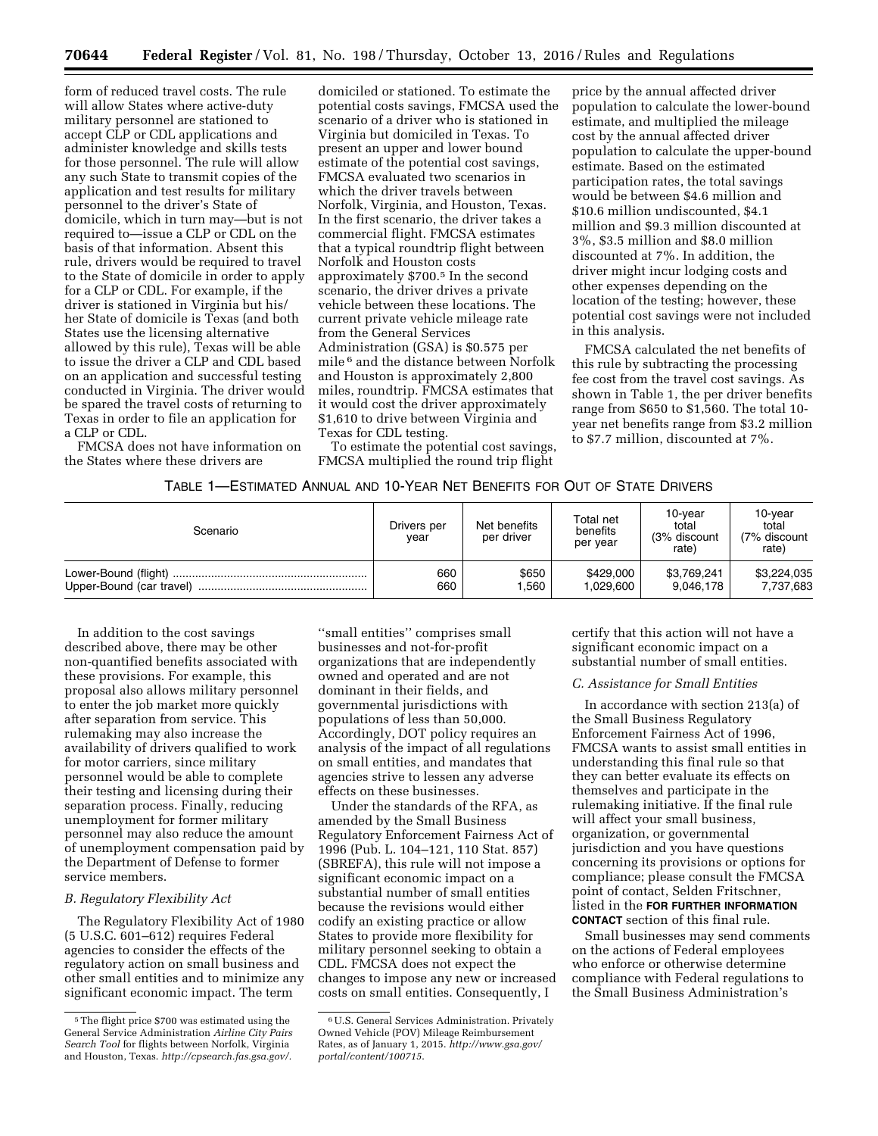form of reduced travel costs. The rule will allow States where active-duty military personnel are stationed to accept CLP or CDL applications and administer knowledge and skills tests for those personnel. The rule will allow any such State to transmit copies of the application and test results for military personnel to the driver's State of domicile, which in turn may—but is not required to—issue a CLP or CDL on the basis of that information. Absent this rule, drivers would be required to travel to the State of domicile in order to apply for a CLP or CDL. For example, if the driver is stationed in Virginia but his/ her State of domicile is Texas (and both States use the licensing alternative allowed by this rule), Texas will be able to issue the driver a CLP and CDL based on an application and successful testing conducted in Virginia. The driver would be spared the travel costs of returning to Texas in order to file an application for a CLP or CDL.

FMCSA does not have information on the States where these drivers are

domiciled or stationed. To estimate the potential costs savings, FMCSA used the scenario of a driver who is stationed in Virginia but domiciled in Texas. To present an upper and lower bound estimate of the potential cost savings, FMCSA evaluated two scenarios in which the driver travels between Norfolk, Virginia, and Houston, Texas. In the first scenario, the driver takes a commercial flight. FMCSA estimates that a typical roundtrip flight between Norfolk and Houston costs approximately \$700.5 In the second scenario, the driver drives a private vehicle between these locations. The current private vehicle mileage rate from the General Services Administration (GSA) is \$0.575 per mile 6 and the distance between Norfolk and Houston is approximately 2,800 miles, roundtrip. FMCSA estimates that it would cost the driver approximately \$1,610 to drive between Virginia and Texas for CDL testing.

To estimate the potential cost savings, FMCSA multiplied the round trip flight

price by the annual affected driver population to calculate the lower-bound estimate, and multiplied the mileage cost by the annual affected driver population to calculate the upper-bound estimate. Based on the estimated participation rates, the total savings would be between \$4.6 million and \$10.6 million undiscounted, \$4.1 million and \$9.3 million discounted at 3%, \$3.5 million and \$8.0 million discounted at 7%. In addition, the driver might incur lodging costs and other expenses depending on the location of the testing; however, these potential cost savings were not included in this analysis.

FMCSA calculated the net benefits of this rule by subtracting the processing fee cost from the travel cost savings. As shown in Table 1, the per driver benefits range from \$650 to \$1,560. The total 10 year net benefits range from \$3.2 million to \$7.7 million, discounted at 7%.

| Table 1—Estimated Annual and 10-Year Net Benefits for Out of State Drivers |  |  |  |  |  |
|----------------------------------------------------------------------------|--|--|--|--|--|
|----------------------------------------------------------------------------|--|--|--|--|--|

| Scenario | Drivers per<br>vear | Net benefits<br>per driver | Total net<br>benefits<br>per year | 10-vear<br>total<br>(3% discount<br>rate) | 10-year<br>total<br>(7% discount<br>rate) |
|----------|---------------------|----------------------------|-----------------------------------|-------------------------------------------|-------------------------------------------|
|          | 660                 | \$650                      | \$429,000                         | \$3,769,241                               | \$3,224,035                               |
|          | 660                 | .560                       | 1.029.600                         | 9.046.178                                 | 7,737,683                                 |

In addition to the cost savings described above, there may be other non-quantified benefits associated with these provisions. For example, this proposal also allows military personnel to enter the job market more quickly after separation from service. This rulemaking may also increase the availability of drivers qualified to work for motor carriers, since military personnel would be able to complete their testing and licensing during their separation process. Finally, reducing unemployment for former military personnel may also reduce the amount of unemployment compensation paid by the Department of Defense to former service members.

# *B. Regulatory Flexibility Act*

The Regulatory Flexibility Act of 1980 (5 U.S.C. 601–612) requires Federal agencies to consider the effects of the regulatory action on small business and other small entities and to minimize any significant economic impact. The term

''small entities'' comprises small businesses and not-for-profit organizations that are independently owned and operated and are not dominant in their fields, and governmental jurisdictions with populations of less than 50,000. Accordingly, DOT policy requires an analysis of the impact of all regulations on small entities, and mandates that agencies strive to lessen any adverse effects on these businesses.

Under the standards of the RFA, as amended by the Small Business Regulatory Enforcement Fairness Act of 1996 (Pub. L. 104–121, 110 Stat. 857) (SBREFA), this rule will not impose a significant economic impact on a substantial number of small entities because the revisions would either codify an existing practice or allow States to provide more flexibility for military personnel seeking to obtain a CDL. FMCSA does not expect the changes to impose any new or increased costs on small entities. Consequently, I

certify that this action will not have a significant economic impact on a substantial number of small entities.

# *C. Assistance for Small Entities*

In accordance with section 213(a) of the Small Business Regulatory Enforcement Fairness Act of 1996, FMCSA wants to assist small entities in understanding this final rule so that they can better evaluate its effects on themselves and participate in the rulemaking initiative. If the final rule will affect your small business, organization, or governmental jurisdiction and you have questions concerning its provisions or options for compliance; please consult the FMCSA point of contact, Selden Fritschner, listed in the **FOR FURTHER INFORMATION CONTACT** section of this final rule.

Small businesses may send comments on the actions of Federal employees who enforce or otherwise determine compliance with Federal regulations to the Small Business Administration's

<sup>5</sup>The flight price \$700 was estimated using the General Service Administration *Airline City Pairs Search Tool* for flights between Norfolk, Virginia and Houston, Texas. *[http://cpsearch.fas.gsa.gov/.](http://cpsearch.fas.gsa.gov/)* 

<sup>6</sup>U.S. General Services Administration. Privately Owned Vehicle (POV) Mileage Reimbursement Rates, as of January 1, 2015. *[http://www.gsa.gov/](http://www.gsa.gov/portal/content/100715)  [portal/content/100715](http://www.gsa.gov/portal/content/100715)*.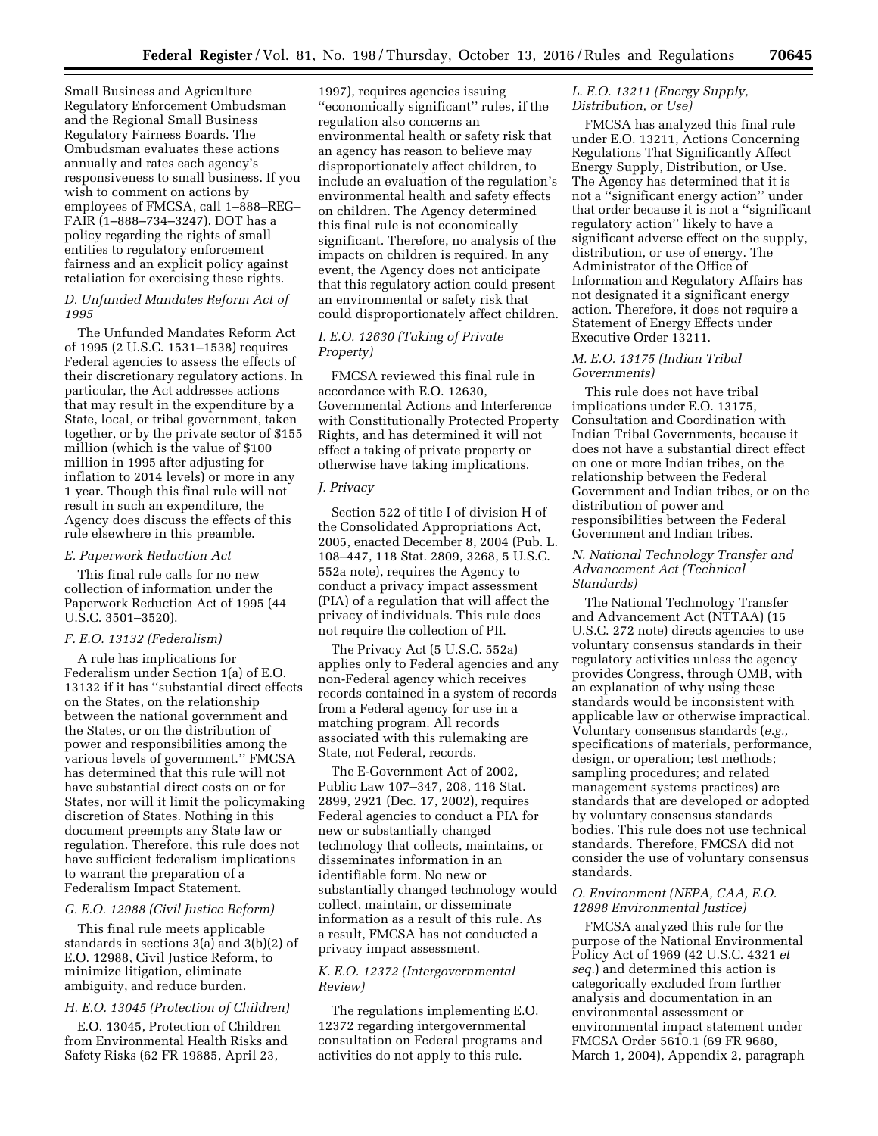Small Business and Agriculture Regulatory Enforcement Ombudsman and the Regional Small Business Regulatory Fairness Boards. The Ombudsman evaluates these actions annually and rates each agency's responsiveness to small business. If you wish to comment on actions by employees of FMCSA, call 1–888–REG– FAIR (1–888–734–3247). DOT has a policy regarding the rights of small entities to regulatory enforcement fairness and an explicit policy against retaliation for exercising these rights.

### *D. Unfunded Mandates Reform Act of 1995*

The Unfunded Mandates Reform Act of 1995 (2 U.S.C. 1531–1538) requires Federal agencies to assess the effects of their discretionary regulatory actions. In particular, the Act addresses actions that may result in the expenditure by a State, local, or tribal government, taken together, or by the private sector of \$155 million (which is the value of \$100 million in 1995 after adjusting for inflation to 2014 levels) or more in any 1 year. Though this final rule will not result in such an expenditure, the Agency does discuss the effects of this rule elsewhere in this preamble.

#### *E. Paperwork Reduction Act*

This final rule calls for no new collection of information under the Paperwork Reduction Act of 1995 (44 U.S.C. 3501–3520).

#### *F. E.O. 13132 (Federalism)*

A rule has implications for Federalism under Section 1(a) of E.O. 13132 if it has ''substantial direct effects on the States, on the relationship between the national government and the States, or on the distribution of power and responsibilities among the various levels of government.'' FMCSA has determined that this rule will not have substantial direct costs on or for States, nor will it limit the policymaking discretion of States. Nothing in this document preempts any State law or regulation. Therefore, this rule does not have sufficient federalism implications to warrant the preparation of a Federalism Impact Statement.

#### *G. E.O. 12988 (Civil Justice Reform)*

This final rule meets applicable standards in sections 3(a) and 3(b)(2) of E.O. 12988, Civil Justice Reform, to minimize litigation, eliminate ambiguity, and reduce burden.

# *H. E.O. 13045 (Protection of Children)*

E.O. 13045, Protection of Children from Environmental Health Risks and Safety Risks (62 FR 19885, April 23,

1997), requires agencies issuing ''economically significant'' rules, if the regulation also concerns an environmental health or safety risk that an agency has reason to believe may disproportionately affect children, to include an evaluation of the regulation's environmental health and safety effects on children. The Agency determined this final rule is not economically significant. Therefore, no analysis of the impacts on children is required. In any event, the Agency does not anticipate that this regulatory action could present an environmental or safety risk that could disproportionately affect children.

# *I. E.O. 12630 (Taking of Private Property)*

FMCSA reviewed this final rule in accordance with E.O. 12630, Governmental Actions and Interference with Constitutionally Protected Property Rights, and has determined it will not effect a taking of private property or otherwise have taking implications.

## *J. Privacy*

Section 522 of title I of division H of the Consolidated Appropriations Act, 2005, enacted December 8, 2004 (Pub. L. 108–447, 118 Stat. 2809, 3268, 5 U.S.C. 552a note), requires the Agency to conduct a privacy impact assessment (PIA) of a regulation that will affect the privacy of individuals. This rule does not require the collection of PII.

The Privacy Act (5 U.S.C. 552a) applies only to Federal agencies and any non-Federal agency which receives records contained in a system of records from a Federal agency for use in a matching program. All records associated with this rulemaking are State, not Federal, records.

The E-Government Act of 2002, Public Law 107–347, 208, 116 Stat. 2899, 2921 (Dec. 17, 2002), requires Federal agencies to conduct a PIA for new or substantially changed technology that collects, maintains, or disseminates information in an identifiable form. No new or substantially changed technology would collect, maintain, or disseminate information as a result of this rule. As a result, FMCSA has not conducted a privacy impact assessment.

### *K. E.O. 12372 (Intergovernmental Review)*

The regulations implementing E.O. 12372 regarding intergovernmental consultation on Federal programs and activities do not apply to this rule.

# *L. E.O. 13211 (Energy Supply, Distribution, or Use)*

FMCSA has analyzed this final rule under E.O. 13211, Actions Concerning Regulations That Significantly Affect Energy Supply, Distribution, or Use. The Agency has determined that it is not a ''significant energy action'' under that order because it is not a ''significant regulatory action'' likely to have a significant adverse effect on the supply, distribution, or use of energy. The Administrator of the Office of Information and Regulatory Affairs has not designated it a significant energy action. Therefore, it does not require a Statement of Energy Effects under Executive Order 13211.

## *M. E.O. 13175 (Indian Tribal Governments)*

This rule does not have tribal implications under E.O. 13175, Consultation and Coordination with Indian Tribal Governments, because it does not have a substantial direct effect on one or more Indian tribes, on the relationship between the Federal Government and Indian tribes, or on the distribution of power and responsibilities between the Federal Government and Indian tribes.

## *N. National Technology Transfer and Advancement Act (Technical Standards)*

The National Technology Transfer and Advancement Act (NTTAA) (15 U.S.C. 272 note) directs agencies to use voluntary consensus standards in their regulatory activities unless the agency provides Congress, through OMB, with an explanation of why using these standards would be inconsistent with applicable law or otherwise impractical. Voluntary consensus standards (*e.g.,*  specifications of materials, performance, design, or operation; test methods; sampling procedures; and related management systems practices) are standards that are developed or adopted by voluntary consensus standards bodies. This rule does not use technical standards. Therefore, FMCSA did not consider the use of voluntary consensus standards.

## *O. Environment (NEPA, CAA, E.O. 12898 Environmental Justice)*

FMCSA analyzed this rule for the purpose of the National Environmental Policy Act of 1969 (42 U.S.C. 4321 *et seq.*) and determined this action is categorically excluded from further analysis and documentation in an environmental assessment or environmental impact statement under FMCSA Order 5610.1 (69 FR 9680, March 1, 2004), Appendix 2, paragraph